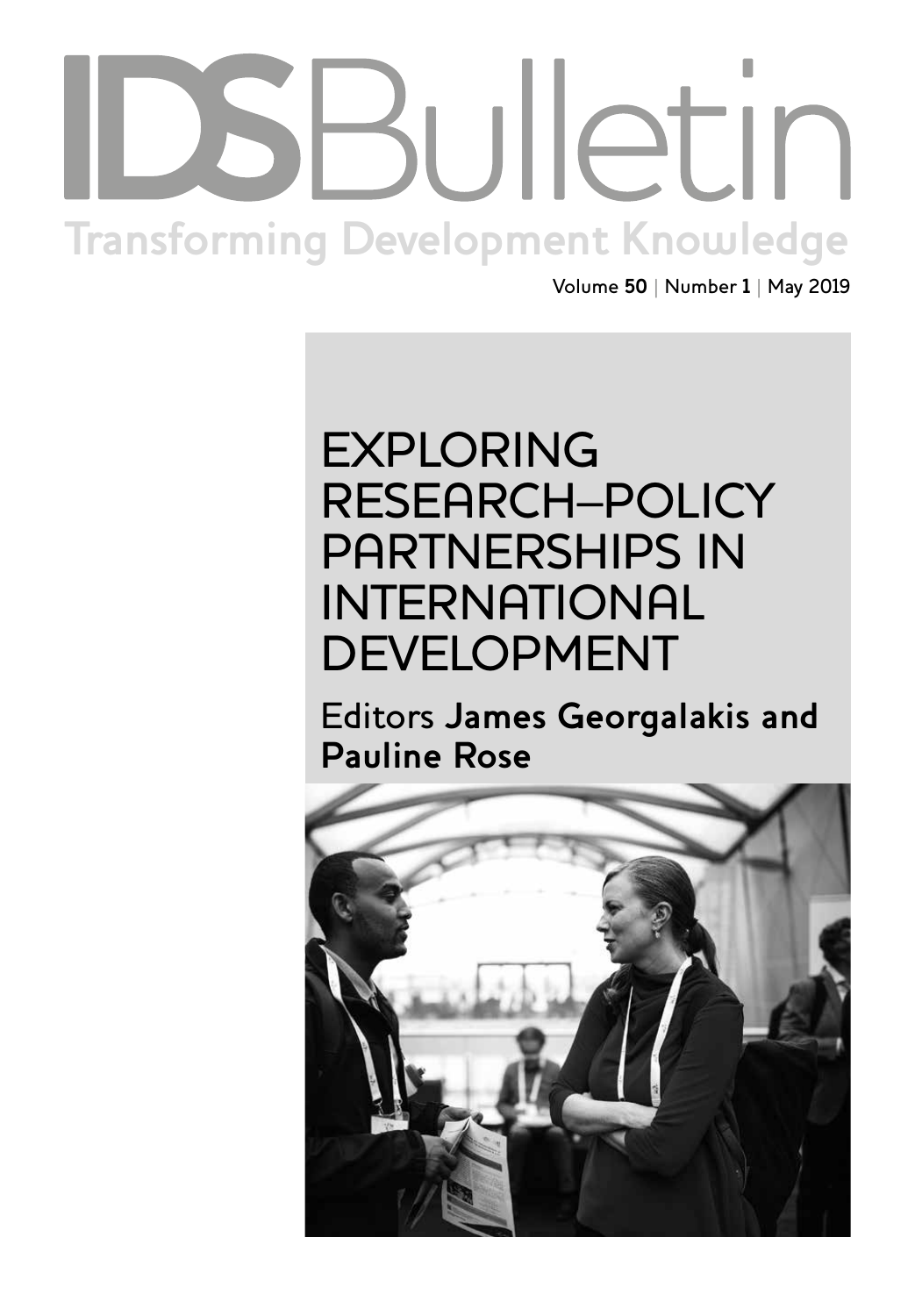# Institute of Development Studies | **bulletin.ids.ac.uk Transforming Development Knowledge**

Volume **50** | Number **1** | May 2019

## EXPLORING RESEARCH–POLICY PARTNERSHIPS IN INTERNATIONAL DEVELOPMENT

Editors **James Georgalakis and Pauline Rose**

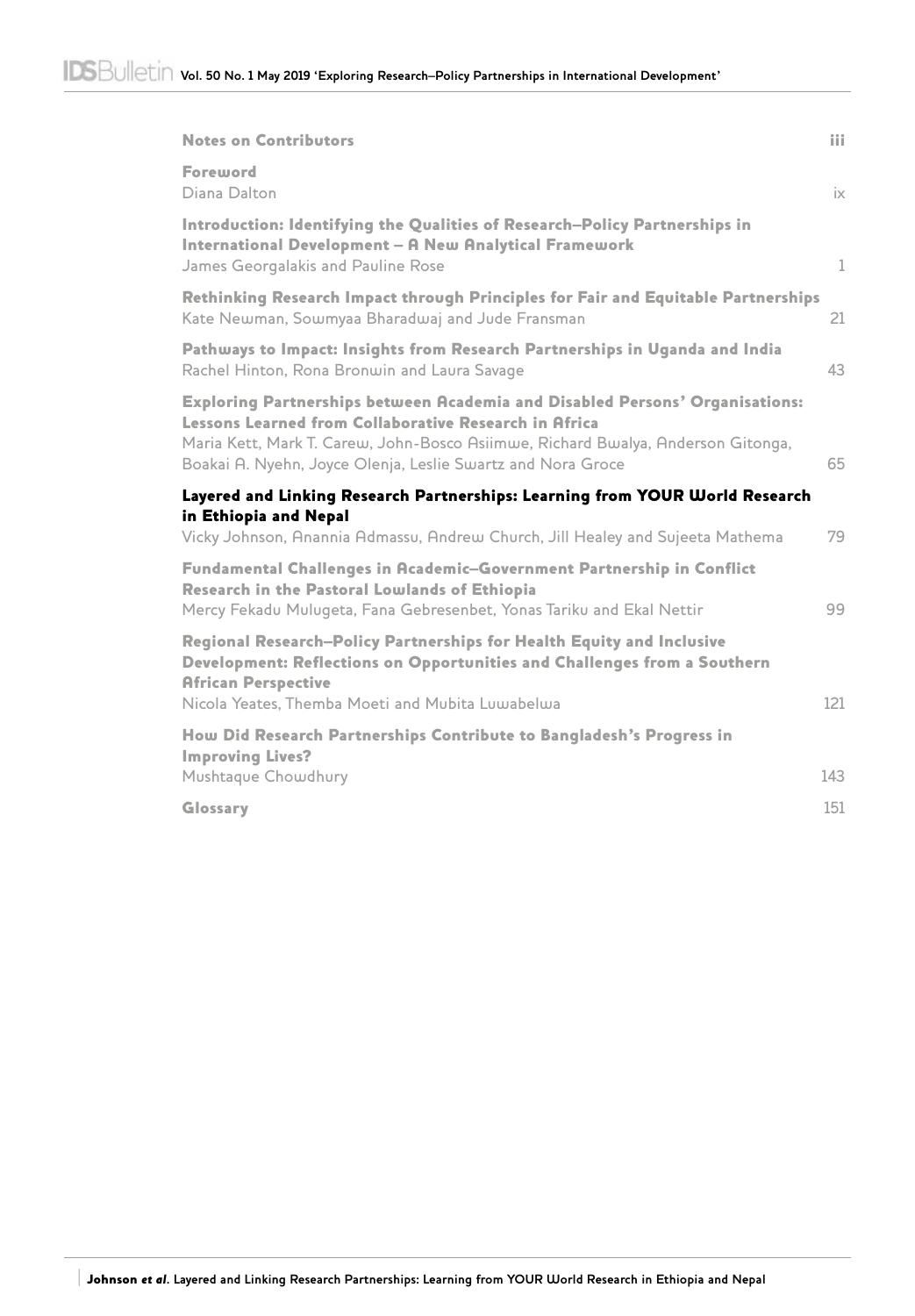| <b>Notes on Contributors</b>                                                                                                                                                                                                                                                                    | iii          |
|-------------------------------------------------------------------------------------------------------------------------------------------------------------------------------------------------------------------------------------------------------------------------------------------------|--------------|
| Foreword<br>Diana Dalton                                                                                                                                                                                                                                                                        | ix           |
| Introduction: Identifying the Qualities of Research-Policy Partnerships in<br>International Development - A New Analytical Framework<br>James Georgalakis and Pauline Rose                                                                                                                      | $\mathbf{1}$ |
| Rethinking Research Impact through Principles for Fair and Equitable Partnerships<br>Kate Newman, Sowmyaa Bharadwaj and Jude Fransman                                                                                                                                                           | 21           |
| Pathways to Impact: Insights from Research Partnerships in Uganda and India<br>Rachel Hinton, Rona Bronwin and Laura Savage                                                                                                                                                                     | 43           |
| <b>Exploring Partnerships between Academia and Disabled Persons' Organisations:</b><br>Lessons Learned from Collaborative Research in Africa<br>Maria Kett, Mark T. Carew, John-Bosco Asiimwe, Richard Bwalya, Anderson Gitonga,<br>Boakai A. Nyehn, Joyce Olenja, Leslie Swartz and Nora Groce | 65           |
| Layered and Linking Research Partnerships: Learning from YOUR World Research                                                                                                                                                                                                                    |              |
| in Ethiopia and Nepal<br>Vicky Johnson, Anannia Admassu, Andrew Church, Jill Healey and Sujeeta Mathema                                                                                                                                                                                         | 79           |
| Fundamental Challenges in Academic-Government Partnership in Conflict<br>Research in the Pastoral Lowlands of Ethiopia<br>Mercy Fekadu Mulugeta, Fana Gebresenbet, Yonas Tariku and Ekal Nettir                                                                                                 | 99           |
| Regional Research-Policy Partnerships for Health Equity and Inclusive<br>Development: Reflections on Opportunities and Challenges from a Southern<br><b>African Perspective</b>                                                                                                                 |              |
| Nicola Yeates, Themba Moeti and Mubita Luwabelwa                                                                                                                                                                                                                                                | 121          |
| How Did Research Partnerships Contribute to Bangladesh's Progress in<br><b>Improving Lives?</b>                                                                                                                                                                                                 |              |
| Mushtaque Chowdhury                                                                                                                                                                                                                                                                             | 143          |
| Glossary                                                                                                                                                                                                                                                                                        | 151          |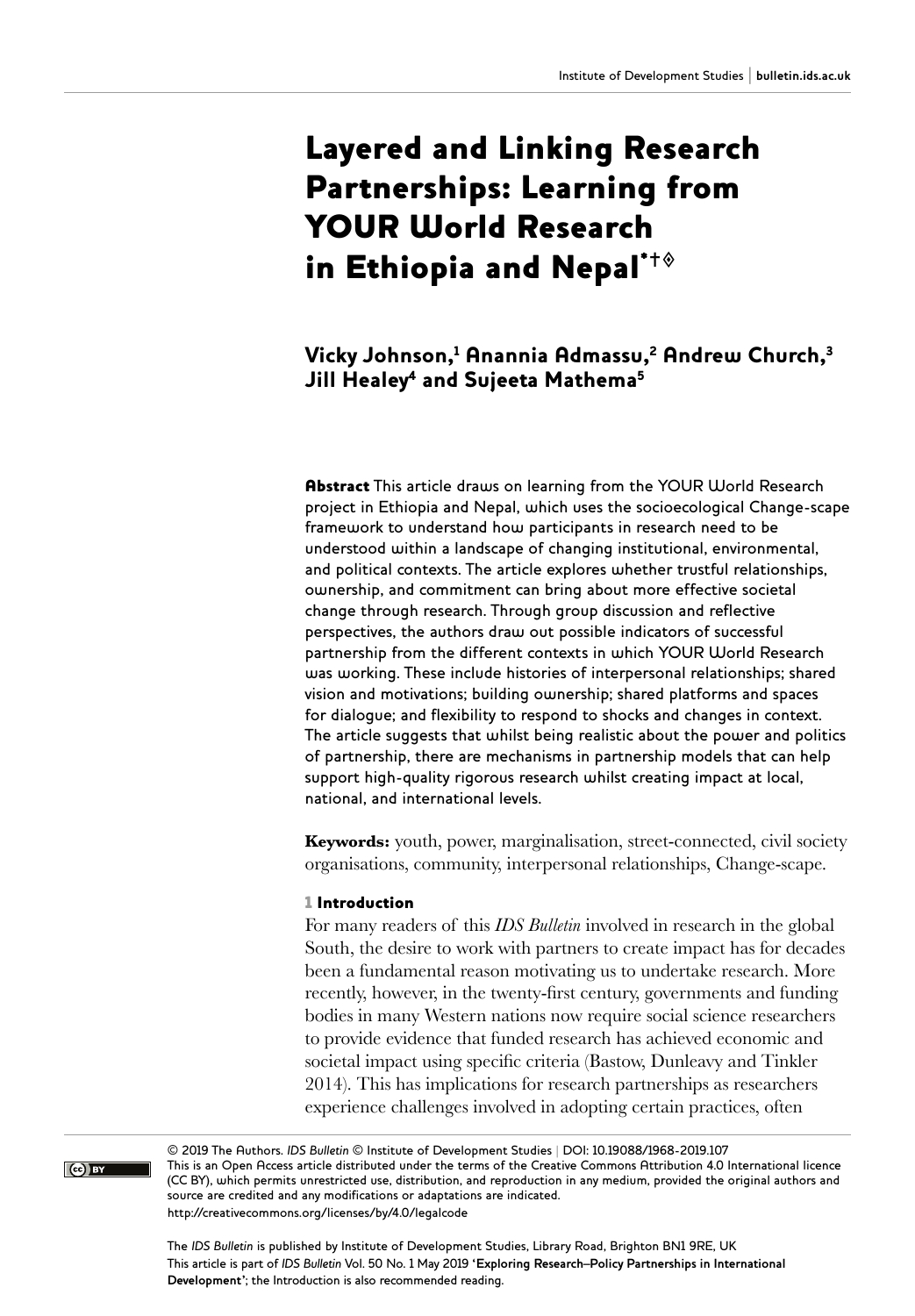### Layered and Linking Research Partnerships: Learning from YOUR World Research in Ethiopia and Nepal $\dot{ }^{\dagger \diamond}$

#### Vicky Johnson, $^1$  Anannia Admassu, $^2$  Andrew Church, $^3$ Jill Healey<sup>4</sup> and Sujeeta Mathema<sup>5</sup>

Abstract This article draws on learning from the YOUR World Research project in Ethiopia and Nepal, which uses the socioecological Change-scape framework to understand how participants in research need to be understood within a landscape of changing institutional, environmental, and political contexts. The article explores whether trustful relationships, ownership, and commitment can bring about more effective societal change through research. Through group discussion and reflective perspectives, the authors draw out possible indicators of successful partnership from the different contexts in which YOUR World Research was working. These include histories of interpersonal relationships; shared vision and motivations; building ownership; shared platforms and spaces for dialogue; and flexibility to respond to shocks and changes in context. The article suggests that whilst being realistic about the power and politics of partnership, there are mechanisms in partnership models that can help support high-quality rigorous research whilst creating impact at local, national, and international levels.

**Keywords:** youth, power, marginalisation, street-connected, civil society organisations, community, interpersonal relationships, Change-scape.

#### 1 Introduction

For many readers of this *IDS Bulletin* involved in research in the global South, the desire to work with partners to create impact has for decades been a fundamental reason motivating us to undertake research. More recently, however, in the twenty-first century, governments and funding bodies in many Western nations now require social science researchers to provide evidence that funded research has achieved economic and societal impact using specific criteria (Bastow, Dunleavy and Tinkler 2014). This has implications for research partnerships as researchers experience challenges involved in adopting certain practices, often

© 2019 The Authors. *IDS Bulletin* © Institute of Development Studies | DOI: 10.19088/1968-2019.107 This is an Open Access article distributed under the terms of the Creative Commons Attribution 4.0 International licence (CC BY), which permits unrestricted use, distribution, and reproduction in any medium, provided the original authors and source are credited and any modifications or adaptations are indicated. <http://creativecommons.org/licenses/by/4.0/legalcode>

The *IDS Bulletin* is published by Institute of Development Studies, Library Road, Brighton BN1 9RE, UK This article is part of *IDS Bulletin* Vol. 50 No. 1 May 2019 **'Exploring Research–Policy Partnerships in International Development'**; the Introduction is also recommended reading.

 $\overline{(\text{c}^{\bullet})}$  BY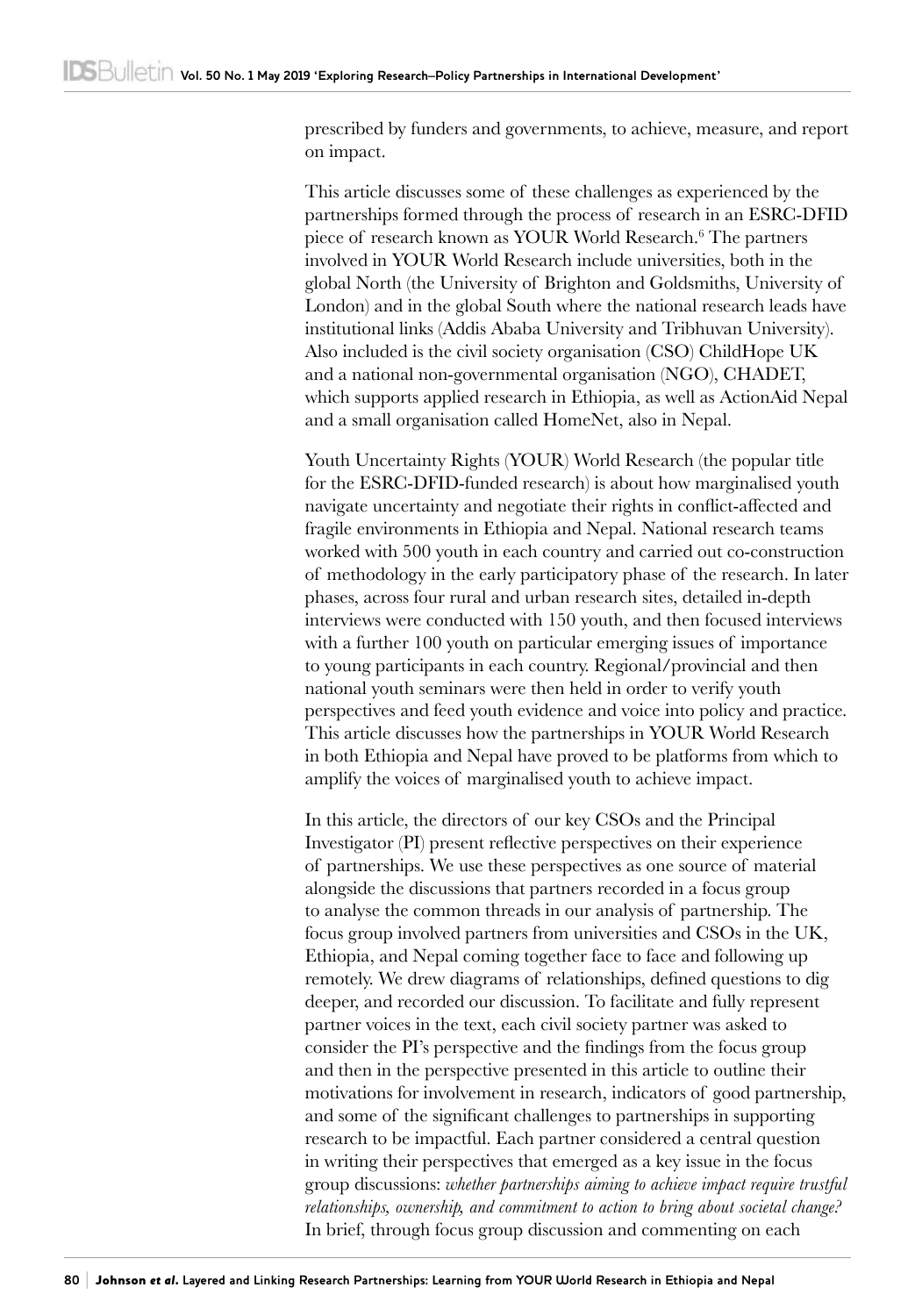prescribed by funders and governments, to achieve, measure, and report on impact.

This article discusses some of these challenges as experienced by the partnerships formed through the process of research in an ESRC-DFID piece of research known as YOUR World Research.<sup>6</sup> The partners involved in YOUR World Research include universities, both in the global North (the University of Brighton and Goldsmiths, University of London) and in the global South where the national research leads have institutional links (Addis Ababa University and Tribhuvan University). Also included is the civil society organisation (CSO) ChildHope UK and a national non-governmental organisation (NGO), CHADET, which supports applied research in Ethiopia, as well as ActionAid Nepal and a small organisation called HomeNet, also in Nepal.

Youth Uncertainty Rights (YOUR) World Research (the popular title for the ESRC-DFID-funded research) is about how marginalised youth navigate uncertainty and negotiate their rights in conflict-affected and fragile environments in Ethiopia and Nepal. National research teams worked with 500 youth in each country and carried out co-construction of methodology in the early participatory phase of the research. In later phases, across four rural and urban research sites, detailed in-depth interviews were conducted with 150 youth, and then focused interviews with a further 100 youth on particular emerging issues of importance to young participants in each country. Regional/provincial and then national youth seminars were then held in order to verify youth perspectives and feed youth evidence and voice into policy and practice. This article discusses how the partnerships in YOUR World Research in both Ethiopia and Nepal have proved to be platforms from which to amplify the voices of marginalised youth to achieve impact.

In this article, the directors of our key CSOs and the Principal Investigator (PI) present reflective perspectives on their experience of partnerships. We use these perspectives as one source of material alongside the discussions that partners recorded in a focus group to analyse the common threads in our analysis of partnership. The focus group involved partners from universities and CSOs in the UK, Ethiopia, and Nepal coming together face to face and following up remotely. We drew diagrams of relationships, defined questions to dig deeper, and recorded our discussion. To facilitate and fully represent partner voices in the text, each civil society partner was asked to consider the PI's perspective and the findings from the focus group and then in the perspective presented in this article to outline their motivations for involvement in research, indicators of good partnership, and some of the significant challenges to partnerships in supporting research to be impactful. Each partner considered a central question in writing their perspectives that emerged as a key issue in the focus group discussions: *whether partnerships aiming to achieve impact require trustful relationships, ownership, and commitment to action to bring about societal change?* In brief, through focus group discussion and commenting on each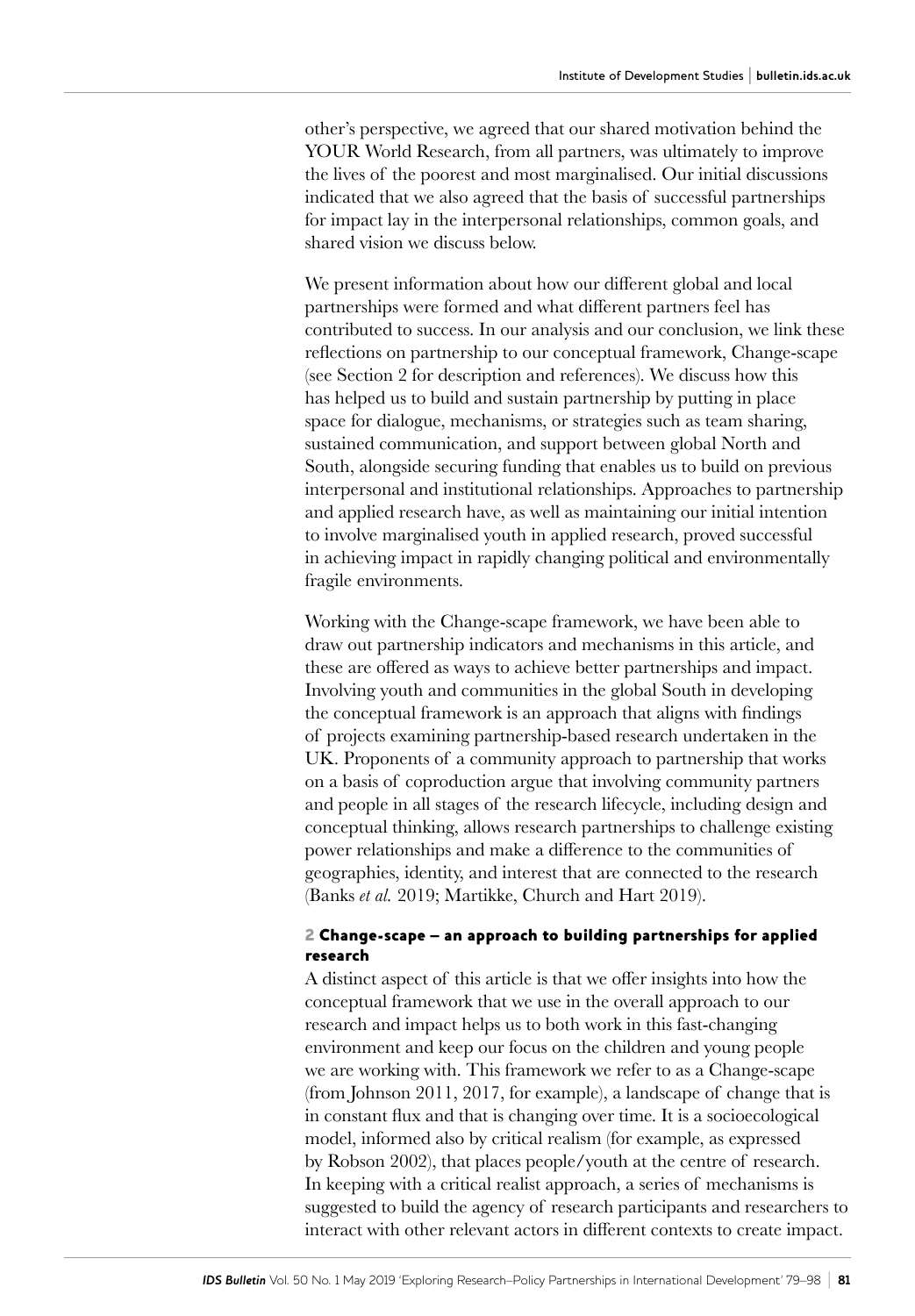other's perspective, we agreed that our shared motivation behind the YOUR World Research, from all partners, was ultimately to improve the lives of the poorest and most marginalised. Our initial discussions indicated that we also agreed that the basis of successful partnerships for impact lay in the interpersonal relationships, common goals, and shared vision we discuss below.

We present information about how our different global and local partnerships were formed and what different partners feel has contributed to success. In our analysis and our conclusion, we link these reflections on partnership to our conceptual framework, Change-scape (see Section 2 for description and references). We discuss how this has helped us to build and sustain partnership by putting in place space for dialogue, mechanisms, or strategies such as team sharing, sustained communication, and support between global North and South, alongside securing funding that enables us to build on previous interpersonal and institutional relationships. Approaches to partnership and applied research have, as well as maintaining our initial intention to involve marginalised youth in applied research, proved successful in achieving impact in rapidly changing political and environmentally fragile environments.

Working with the Change-scape framework, we have been able to draw out partnership indicators and mechanisms in this article, and these are offered as ways to achieve better partnerships and impact. Involving youth and communities in the global South in developing the conceptual framework is an approach that aligns with findings of projects examining partnership-based research undertaken in the UK. Proponents of a community approach to partnership that works on a basis of coproduction argue that involving community partners and people in all stages of the research lifecycle, including design and conceptual thinking, allows research partnerships to challenge existing power relationships and make a difference to the communities of geographies, identity, and interest that are connected to the research (Banks *et al.* 2019; Martikke, Church and Hart 2019).

#### 2 Change-scape – an approach to building partnerships for applied research

A distinct aspect of this article is that we offer insights into how the conceptual framework that we use in the overall approach to our research and impact helps us to both work in this fast-changing environment and keep our focus on the children and young people we are working with. This framework we refer to as a Change-scape (from Johnson 2011, 2017, for example), a landscape of change that is in constant flux and that is changing over time. It is a socioecological model, informed also by critical realism (for example, as expressed by Robson 2002), that places people/youth at the centre of research. In keeping with a critical realist approach, a series of mechanisms is suggested to build the agency of research participants and researchers to interact with other relevant actors in different contexts to create impact.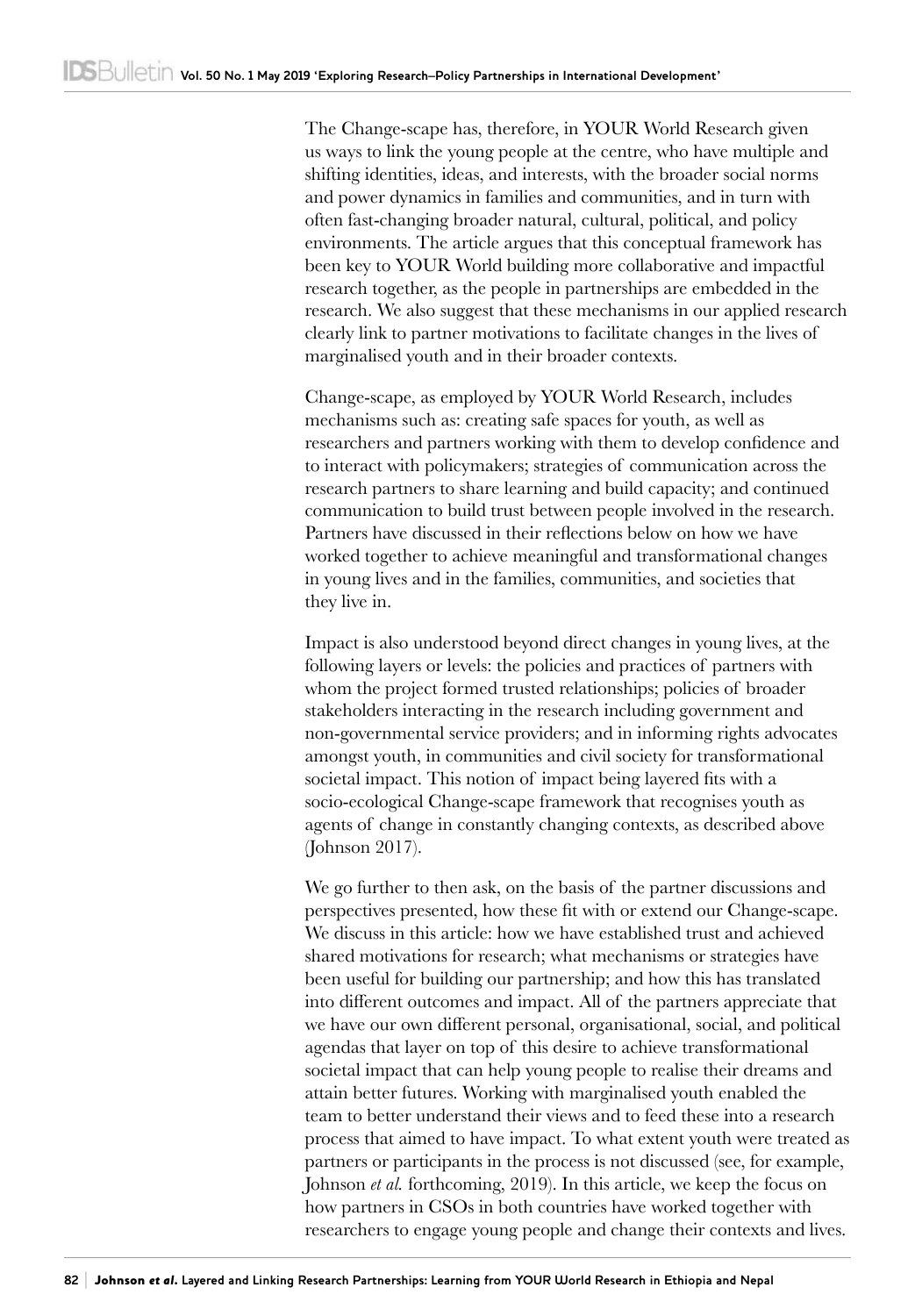The Change-scape has, therefore, in YOUR World Research given us ways to link the young people at the centre, who have multiple and shifting identities, ideas, and interests, with the broader social norms and power dynamics in families and communities, and in turn with often fast-changing broader natural, cultural, political, and policy environments. The article argues that this conceptual framework has been key to YOUR World building more collaborative and impactful research together, as the people in partnerships are embedded in the research. We also suggest that these mechanisms in our applied research clearly link to partner motivations to facilitate changes in the lives of marginalised youth and in their broader contexts.

Change-scape, as employed by YOUR World Research, includes mechanisms such as: creating safe spaces for youth, as well as researchers and partners working with them to develop confidence and to interact with policymakers; strategies of communication across the research partners to share learning and build capacity; and continued communication to build trust between people involved in the research. Partners have discussed in their reflections below on how we have worked together to achieve meaningful and transformational changes in young lives and in the families, communities, and societies that they live in.

Impact is also understood beyond direct changes in young lives, at the following layers or levels: the policies and practices of partners with whom the project formed trusted relationships; policies of broader stakeholders interacting in the research including government and non-governmental service providers; and in informing rights advocates amongst youth, in communities and civil society for transformational societal impact. This notion of impact being layered fits with a socio-ecological Change-scape framework that recognises youth as agents of change in constantly changing contexts, as described above (Johnson 2017).

We go further to then ask, on the basis of the partner discussions and perspectives presented, how these fit with or extend our Change-scape. We discuss in this article: how we have established trust and achieved shared motivations for research; what mechanisms or strategies have been useful for building our partnership; and how this has translated into different outcomes and impact. All of the partners appreciate that we have our own different personal, organisational, social, and political agendas that layer on top of this desire to achieve transformational societal impact that can help young people to realise their dreams and attain better futures. Working with marginalised youth enabled the team to better understand their views and to feed these into a research process that aimed to have impact. To what extent youth were treated as partners or participants in the process is not discussed (see, for example, Johnson *et al.* forthcoming, 2019). In this article, we keep the focus on how partners in CSOs in both countries have worked together with researchers to engage young people and change their contexts and lives.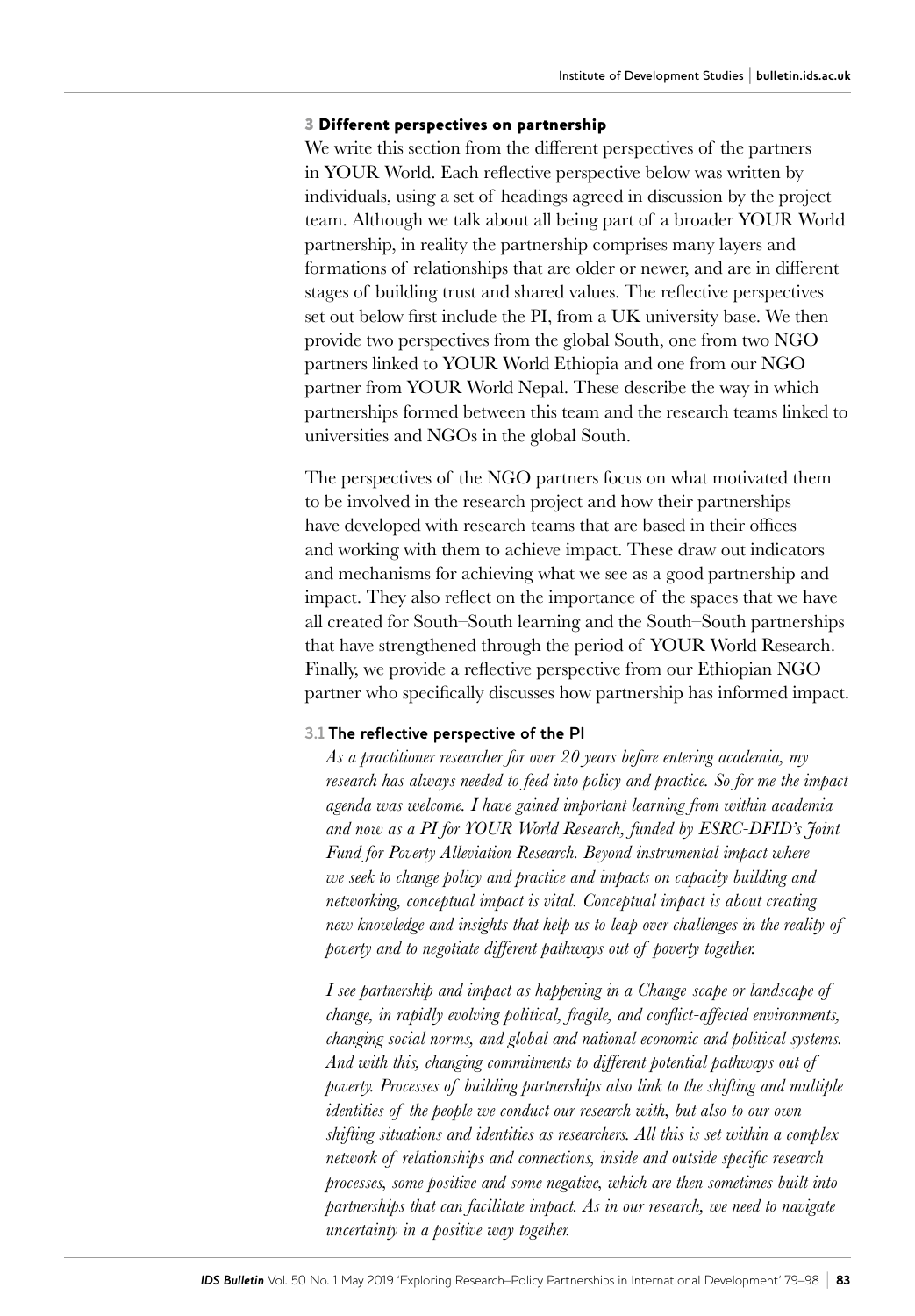#### 3 Different perspectives on partnership

We write this section from the different perspectives of the partners in YOUR World. Each reflective perspective below was written by individuals, using a set of headings agreed in discussion by the project team. Although we talk about all being part of a broader YOUR World partnership, in reality the partnership comprises many layers and formations of relationships that are older or newer, and are in different stages of building trust and shared values. The reflective perspectives set out below first include the PI, from a UK university base. We then provide two perspectives from the global South, one from two NGO partners linked to YOUR World Ethiopia and one from our NGO partner from YOUR World Nepal. These describe the way in which partnerships formed between this team and the research teams linked to universities and NGOs in the global South.

The perspectives of the NGO partners focus on what motivated them to be involved in the research project and how their partnerships have developed with research teams that are based in their offices and working with them to achieve impact. These draw out indicators and mechanisms for achieving what we see as a good partnership and impact. They also reflect on the importance of the spaces that we have all created for South–South learning and the South–South partnerships that have strengthened through the period of YOUR World Research. Finally, we provide a reflective perspective from our Ethiopian NGO partner who specifically discusses how partnership has informed impact.

#### **3.1 The reflective perspective of the PI**

*As a practitioner researcher for over 20 years before entering academia, my research has always needed to feed into policy and practice. So for me the impact agenda was welcome. I have gained important learning from within academia and now as a PI for YOUR World Research, funded by ESRC-DFID's Joint Fund for Poverty Alleviation Research. Beyond instrumental impact where we seek to change policy and practice and impacts on capacity building and networking, conceptual impact is vital. Conceptual impact is about creating new knowledge and insights that help us to leap over challenges in the reality of poverty and to negotiate different pathways out of poverty together.*

*I see partnership and impact as happening in a Change-scape or landscape of change, in rapidly evolving political, fragile, and conflict-affected environments, changing social norms, and global and national economic and political systems. And with this, changing commitments to different potential pathways out of poverty. Processes of building partnerships also link to the shifting and multiple identities of the people we conduct our research with, but also to our own shifting situations and identities as researchers. All this is set within a complex network of relationships and connections, inside and outside specific research processes, some positive and some negative, which are then sometimes built into partnerships that can facilitate impact. As in our research, we need to navigate uncertainty in a positive way together.*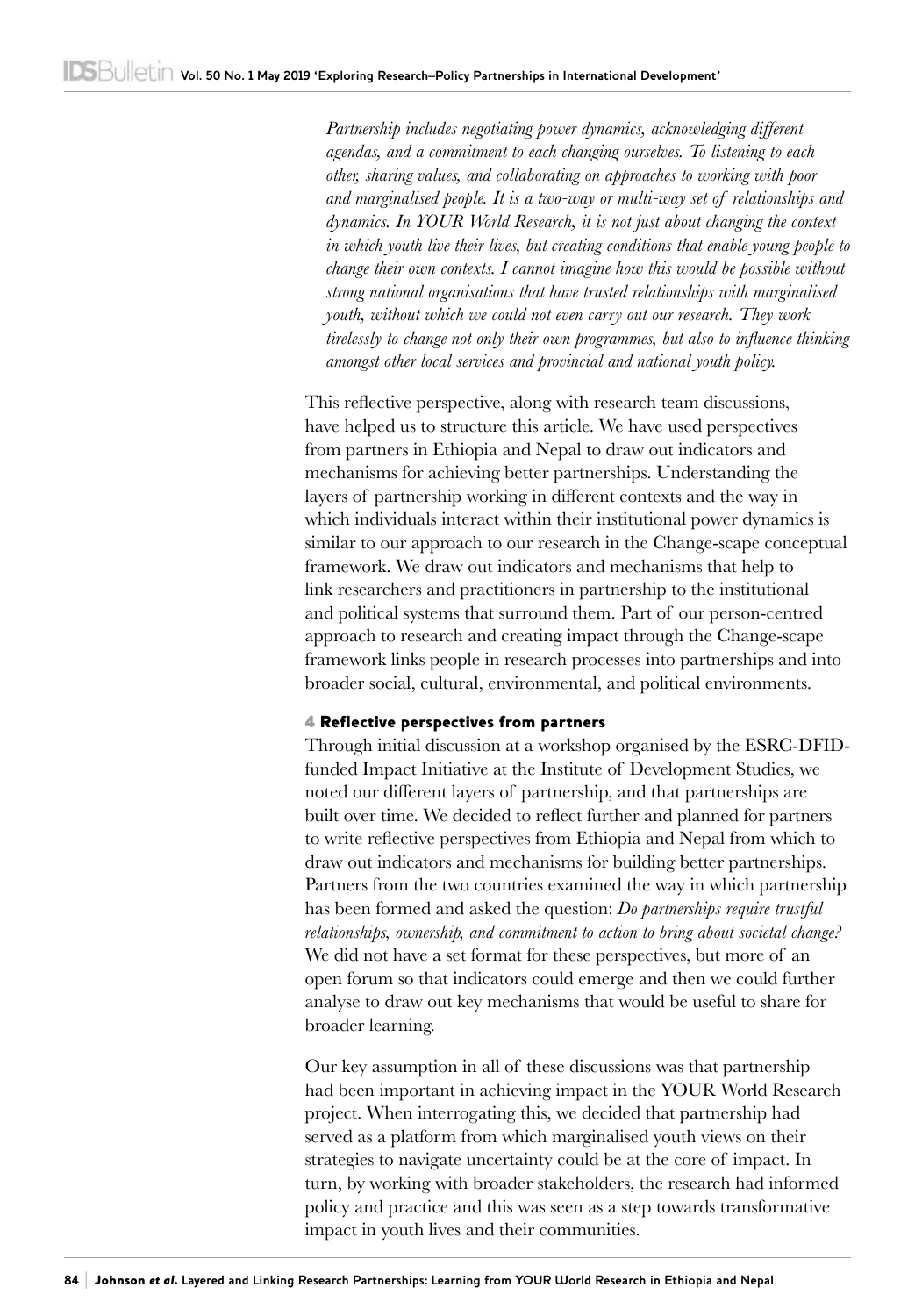*Partnership includes negotiating power dynamics, acknowledging different agendas, and a commitment to each changing ourselves. To listening to each other, sharing values, and collaborating on approaches to working with poor and marginalised people. It is a two-way or multi-way set of relationships and dynamics. In YOUR World Research, it is not just about changing the context in which youth live their lives, but creating conditions that enable young people to change their own contexts. I cannot imagine how this would be possible without strong national organisations that have trusted relationships with marginalised youth, without which we could not even carry out our research. They work tirelessly to change not only their own programmes, but also to influence thinking amongst other local services and provincial and national youth policy.*

This reflective perspective, along with research team discussions, have helped us to structure this article. We have used perspectives from partners in Ethiopia and Nepal to draw out indicators and mechanisms for achieving better partnerships. Understanding the layers of partnership working in different contexts and the way in which individuals interact within their institutional power dynamics is similar to our approach to our research in the Change-scape conceptual framework. We draw out indicators and mechanisms that help to link researchers and practitioners in partnership to the institutional and political systems that surround them. Part of our person-centred approach to research and creating impact through the Change-scape framework links people in research processes into partnerships and into broader social, cultural, environmental, and political environments.

#### 4 Reflective perspectives from partners

Through initial discussion at a workshop organised by the ESRC-DFIDfunded Impact Initiative at the Institute of Development Studies, we noted our different layers of partnership, and that partnerships are built over time. We decided to reflect further and planned for partners to write reflective perspectives from Ethiopia and Nepal from which to draw out indicators and mechanisms for building better partnerships. Partners from the two countries examined the way in which partnership has been formed and asked the question: *Do partnerships require trustful relationships, ownership, and commitment to action to bring about societal change?* We did not have a set format for these perspectives, but more of an open forum so that indicators could emerge and then we could further analyse to draw out key mechanisms that would be useful to share for broader learning.

Our key assumption in all of these discussions was that partnership had been important in achieving impact in the YOUR World Research project. When interrogating this, we decided that partnership had served as a platform from which marginalised youth views on their strategies to navigate uncertainty could be at the core of impact. In turn, by working with broader stakeholders, the research had informed policy and practice and this was seen as a step towards transformative impact in youth lives and their communities.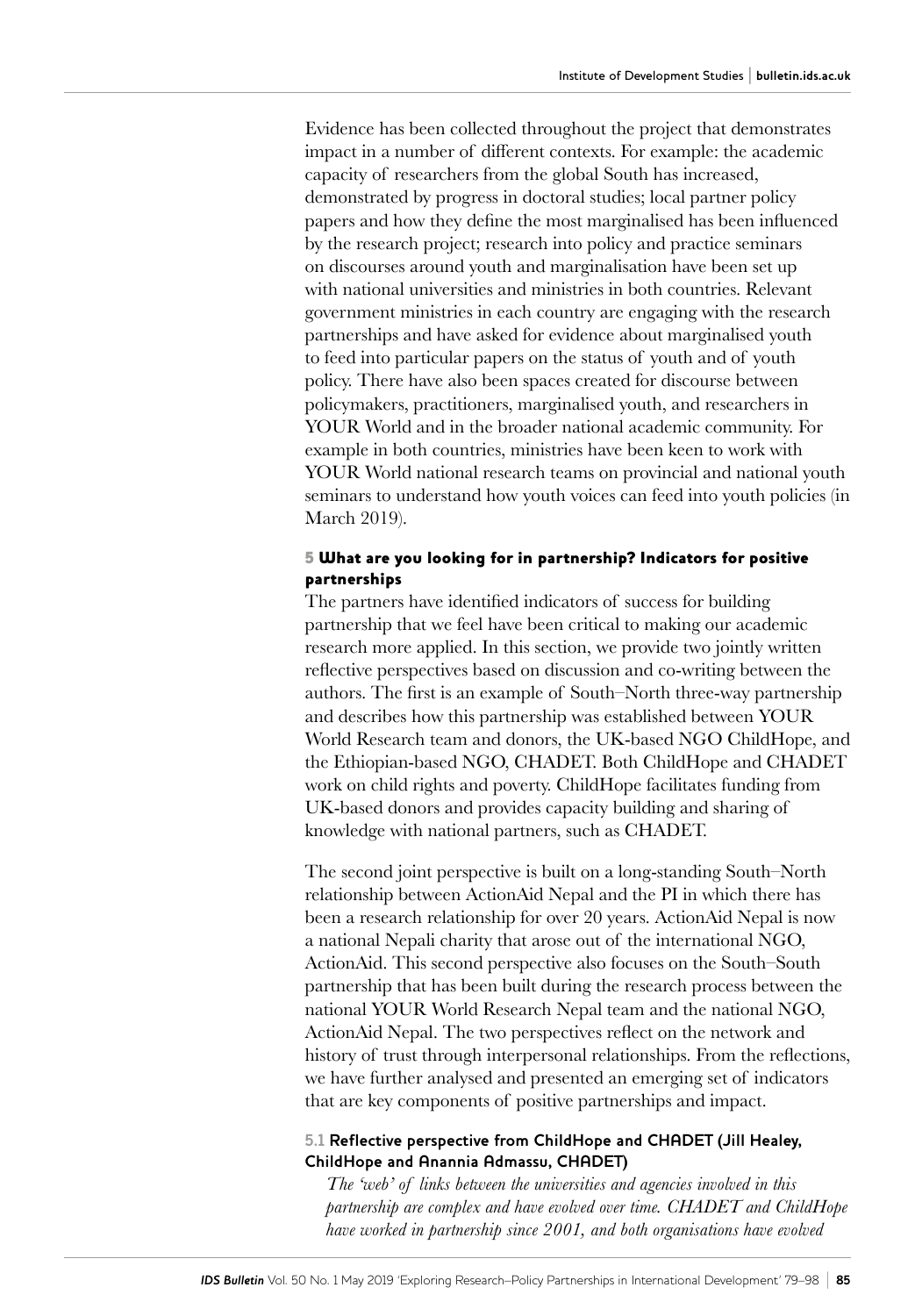Evidence has been collected throughout the project that demonstrates impact in a number of different contexts. For example: the academic capacity of researchers from the global South has increased, demonstrated by progress in doctoral studies; local partner policy papers and how they define the most marginalised has been influenced by the research project; research into policy and practice seminars on discourses around youth and marginalisation have been set up with national universities and ministries in both countries. Relevant government ministries in each country are engaging with the research partnerships and have asked for evidence about marginalised youth to feed into particular papers on the status of youth and of youth policy. There have also been spaces created for discourse between policymakers, practitioners, marginalised youth, and researchers in YOUR World and in the broader national academic community. For example in both countries, ministries have been keen to work with YOUR World national research teams on provincial and national youth seminars to understand how youth voices can feed into youth policies (in March 2019).

#### 5 What are you looking for in partnership? Indicators for positive partnerships

The partners have identified indicators of success for building partnership that we feel have been critical to making our academic research more applied. In this section, we provide two jointly written reflective perspectives based on discussion and co-writing between the authors. The first is an example of South–North three-way partnership and describes how this partnership was established between YOUR World Research team and donors, the UK-based NGO ChildHope, and the Ethiopian-based NGO, CHADET. Both ChildHope and CHADET work on child rights and poverty. ChildHope facilitates funding from UK-based donors and provides capacity building and sharing of knowledge with national partners, such as CHADET.

The second joint perspective is built on a long-standing South–North relationship between ActionAid Nepal and the PI in which there has been a research relationship for over 20 years. ActionAid Nepal is now a national Nepali charity that arose out of the international NGO, ActionAid. This second perspective also focuses on the South–South partnership that has been built during the research process between the national YOUR World Research Nepal team and the national NGO, ActionAid Nepal. The two perspectives reflect on the network and history of trust through interpersonal relationships. From the reflections, we have further analysed and presented an emerging set of indicators that are key components of positive partnerships and impact.

#### **5.1 Reflective perspective from ChildHope and CHADET (Jill Healey, ChildHope and Anannia Admassu, CHADET)**

*The 'web' of links between the universities and agencies involved in this partnership are complex and have evolved over time. CHADET and ChildHope have worked in partnership since 2001, and both organisations have evolved*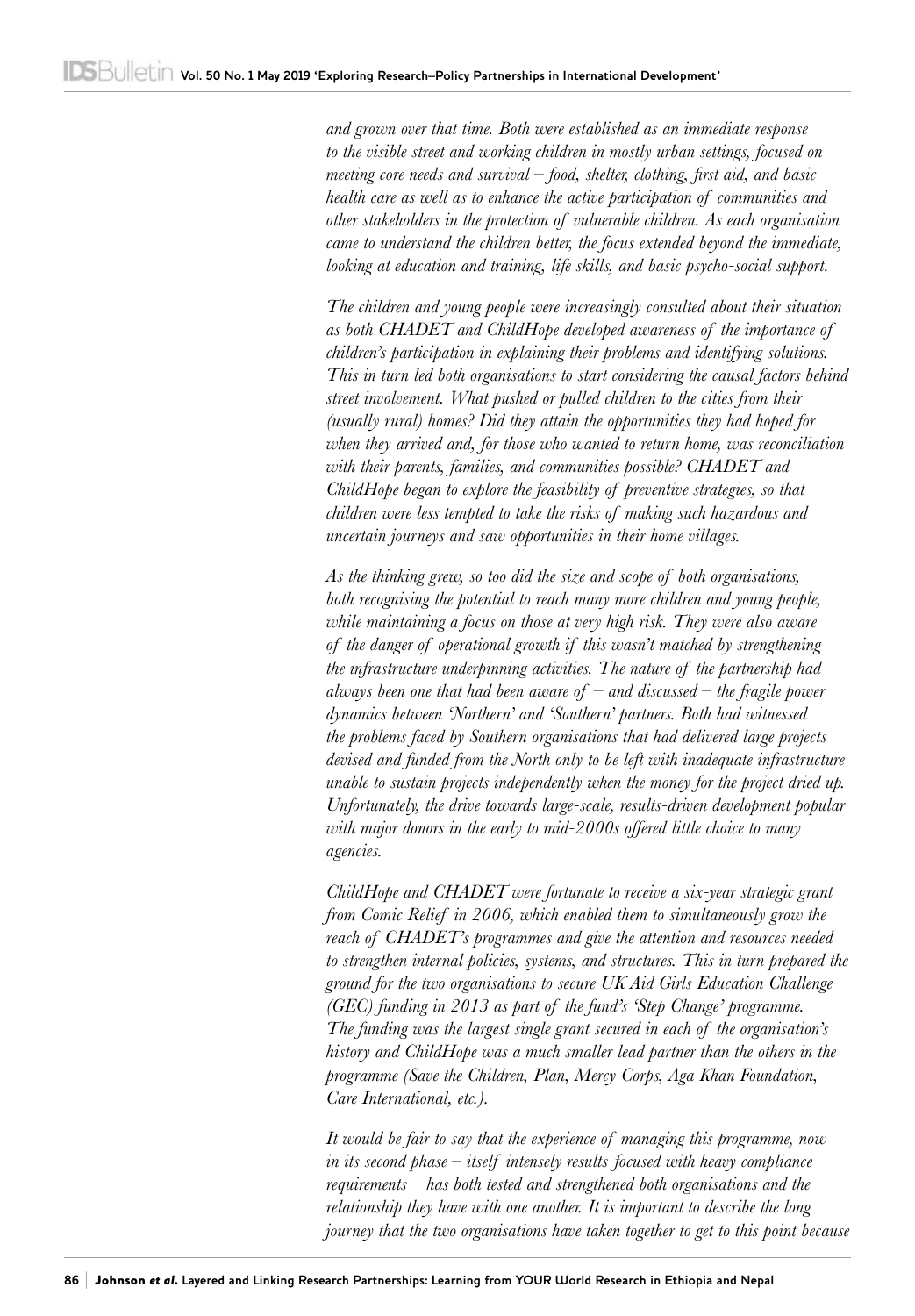*and grown over that time. Both were established as an immediate response to the visible street and working children in mostly urban settings, focused on meeting core needs and survival – food, shelter, clothing, first aid, and basic health care as well as to enhance the active participation of communities and other stakeholders in the protection of vulnerable children. As each organisation came to understand the children better, the focus extended beyond the immediate, looking at education and training, life skills, and basic psycho-social support.*

*The children and young people were increasingly consulted about their situation as both CHADET and ChildHope developed awareness of the importance of children's participation in explaining their problems and identifying solutions. This in turn led both organisations to start considering the causal factors behind street involvement. What pushed or pulled children to the cities from their (usually rural) homes? Did they attain the opportunities they had hoped for when they arrived and, for those who wanted to return home, was reconciliation with their parents, families, and communities possible? CHADET and ChildHope began to explore the feasibility of preventive strategies, so that children were less tempted to take the risks of making such hazardous and uncertain journeys and saw opportunities in their home villages.*

*As the thinking grew, so too did the size and scope of both organisations, both recognising the potential to reach many more children and young people, while maintaining a focus on those at very high risk. They were also aware of the danger of operational growth if this wasn't matched by strengthening the infrastructure underpinning activities. The nature of the partnership had always been one that had been aware of – and discussed – the fragile power dynamics between 'Northern' and 'Southern' partners. Both had witnessed the problems faced by Southern organisations that had delivered large projects*  devised and funded from the North only to be left with inadequate infrastructure *unable to sustain projects independently when the money for the project dried up. Unfortunately, the drive towards large-scale, results-driven development popular with major donors in the early to mid-2000s offered little choice to many agencies.*

*ChildHope and CHADET were fortunate to receive a six-year strategic grant from Comic Relief in 2006, which enabled them to simultaneously grow the reach of CHADET's programmes and give the attention and resources needed to strengthen internal policies, systems, and structures. This in turn prepared the ground for the two organisations to secure UK Aid Girls Education Challenge (GEC) funding in 2013 as part of the fund's 'Step Change' programme. The funding was the largest single grant secured in each of the organisation's history and ChildHope was a much smaller lead partner than the others in the programme (Save the Children, Plan, Mercy Corps, Aga Khan Foundation, Care International, etc.).*

*It would be fair to say that the experience of managing this programme, now in its second phase – itself intensely results-focused with heavy compliance requirements – has both tested and strengthened both organisations and the relationship they have with one another. It is important to describe the long journey that the two organisations have taken together to get to this point because*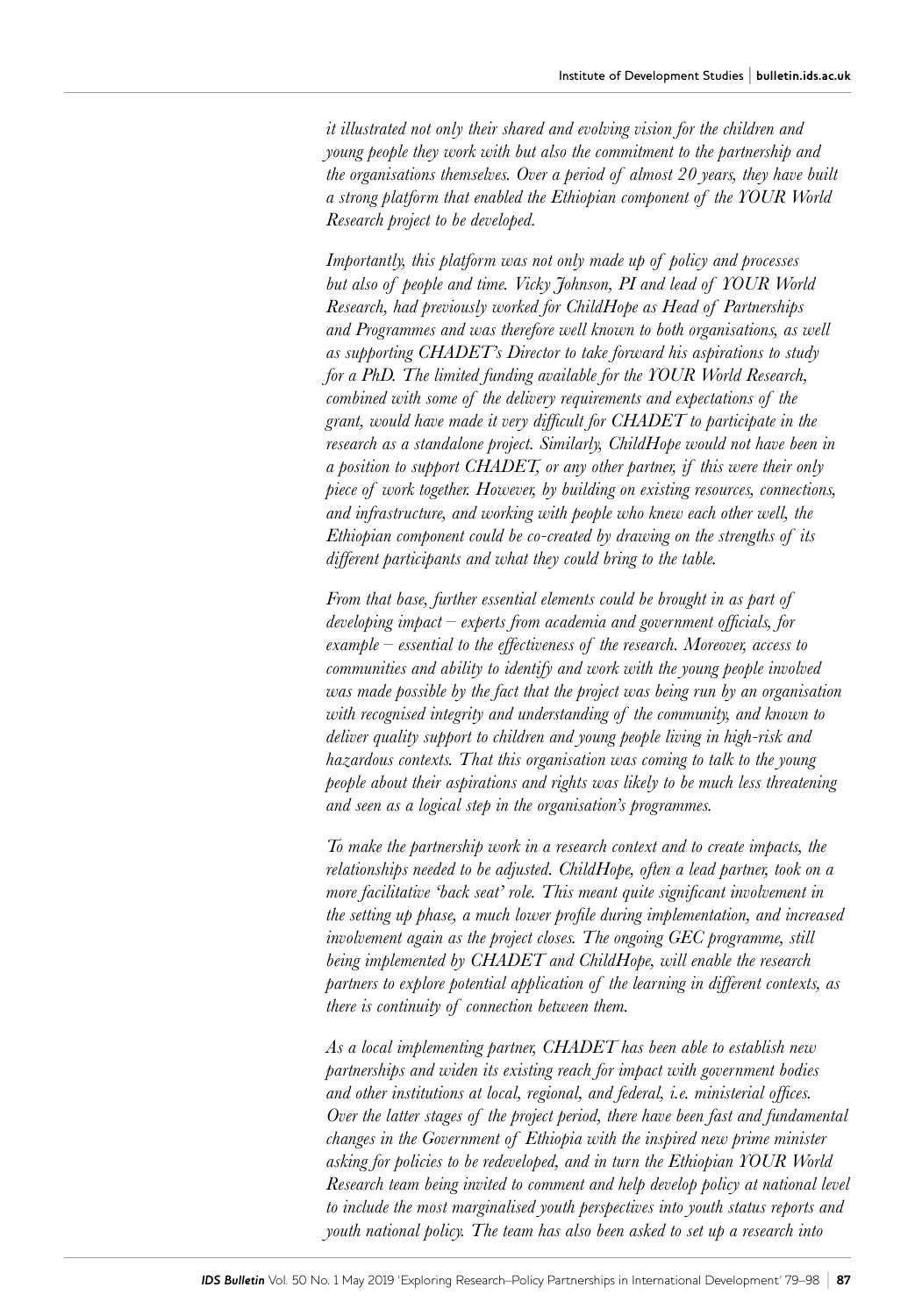*it illustrated not only their shared and evolving vision for the children and young people they work with but also the commitment to the partnership and the organisations themselves. Over a period of almost 20 years, they have built a strong platform that enabled the Ethiopian component of the YOUR World Research project to be developed.*

*Importantly, this platform was not only made up of policy and processes but also of people and time. Vicky Johnson, PI and lead of YOUR World Research, had previously worked for ChildHope as Head of Partnerships and Programmes and was therefore well known to both organisations, as well as supporting CHADET's Director to take forward his aspirations to study for a PhD. The limited funding available for the YOUR World Research, combined with some of the delivery requirements and expectations of the grant, would have made it very difficult for CHADET to participate in the research as a standalone project. Similarly, ChildHope would not have been in a position to support CHADET, or any other partner, if this were their only piece of work together. However, by building on existing resources, connections, and infrastructure, and working with people who knew each other well, the Ethiopian component could be co-created by drawing on the strengths of its different participants and what they could bring to the table.*

*From that base, further essential elements could be brought in as part of developing impact – experts from academia and government officials, for example – essential to the effectiveness of the research. Moreover, access to*  communities and ability to identify and work with the young people involved *was made possible by the fact that the project was being run by an organisation with recognised integrity and understanding of the community, and known to deliver quality support to children and young people living in high-risk and hazardous contexts. That this organisation was coming to talk to the young people about their aspirations and rights was likely to be much less threatening and seen as a logical step in the organisation's programmes.*

*To make the partnership work in a research context and to create impacts, the relationships needed to be adjusted. ChildHope, often a lead partner, took on a more facilitative 'back seat' role. This meant quite significant involvement in the setting up phase, a much lower profile during implementation, and increased involvement again as the project closes. The ongoing GEC programme, still being implemented by CHADET and ChildHope, will enable the research partners to explore potential application of the learning in different contexts, as there is continuity of connection between them.*

*As a local implementing partner, CHADET has been able to establish new partnerships and widen its existing reach for impact with government bodies and other institutions at local, regional, and federal, i.e. ministerial offices. Over the latter stages of the project period, there have been fast and fundamental changes in the Government of Ethiopia with the inspired new prime minister asking for policies to be redeveloped, and in turn the Ethiopian YOUR World Research team being invited to comment and help develop policy at national level to include the most marginalised youth perspectives into youth status reports and youth national policy. The team has also been asked to set up a research into*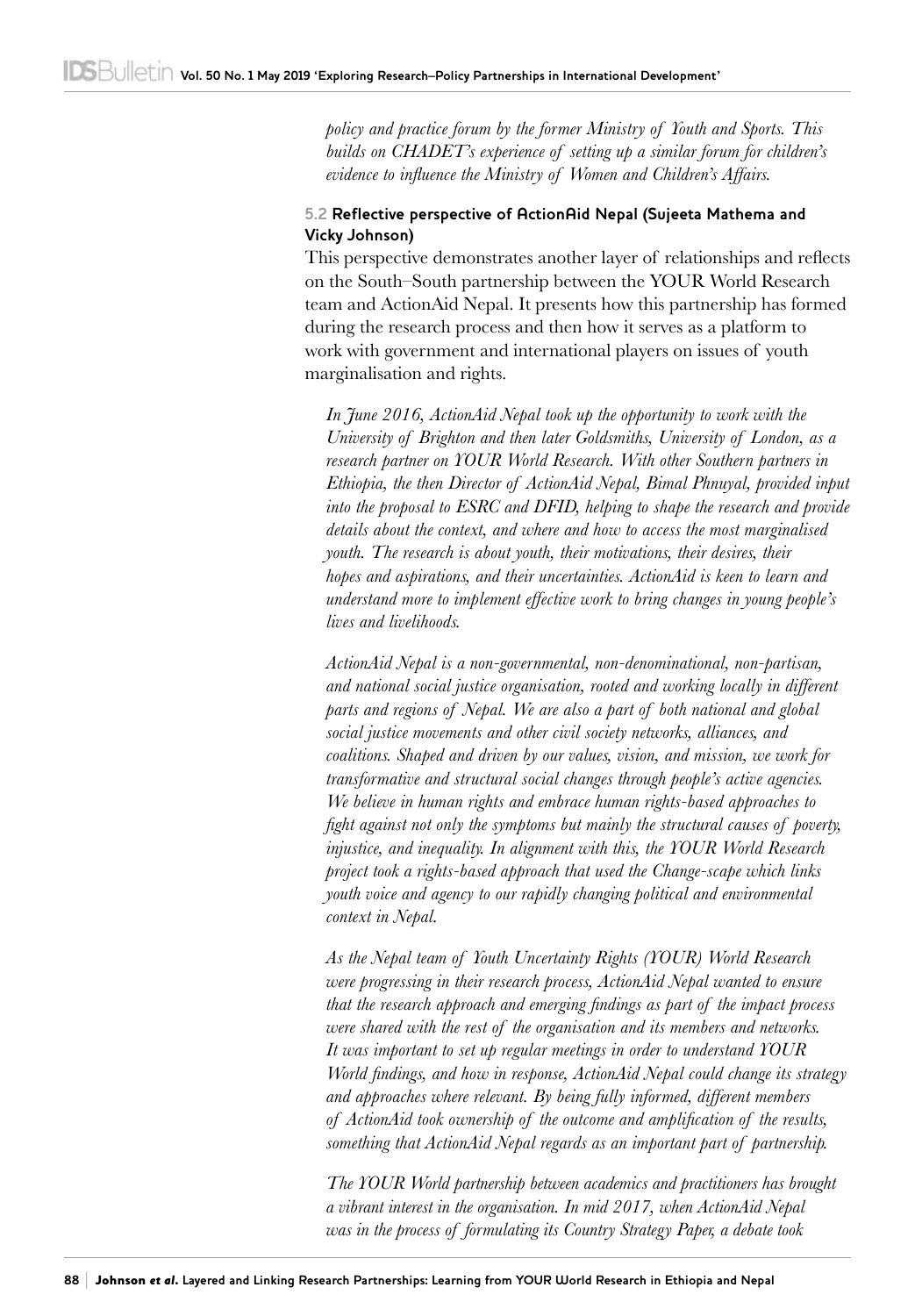*policy and practice forum by the former Ministry of Youth and Sports. This builds on CHADET's experience of setting up a similar forum for children's evidence to influence the Ministry of Women and Children's Affairs.*

#### **5.2 Reflective perspective of ActionAid Nepal (Sujeeta Mathema and Vicky Johnson)**

This perspective demonstrates another layer of relationships and reflects on the South–South partnership between the YOUR World Research team and ActionAid Nepal. It presents how this partnership has formed during the research process and then how it serves as a platform to work with government and international players on issues of youth marginalisation and rights.

*In June 2016, ActionAid Nepal took up the opportunity to work with the University of Brighton and then later Goldsmiths, University of London, as a research partner on YOUR World Research. With other Southern partners in Ethiopia, the then Director of ActionAid Nepal, Bimal Phnuyal, provided input into the proposal to ESRC and DFID, helping to shape the research and provide details about the context, and where and how to access the most marginalised youth. The research is about youth, their motivations, their desires, their hopes and aspirations, and their uncertainties. ActionAid is keen to learn and understand more to implement effective work to bring changes in young people's lives and livelihoods.*

*ActionAid Nepal is a non-governmental, non-denominational, non-partisan, and national social justice organisation, rooted and working locally in different parts and regions of Nepal. We are also a part of both national and global social justice movements and other civil society networks, alliances, and coalitions. Shaped and driven by our values, vision, and mission, we work for transformative and structural social changes through people's active agencies. We believe in human rights and embrace human rights-based approaches to fight against not only the symptoms but mainly the structural causes of poverty, injustice, and inequality. In alignment with this, the YOUR World Research project took a rights-based approach that used the Change-scape which links youth voice and agency to our rapidly changing political and environmental context in Nepal.*

*As the Nepal team of Youth Uncertainty Rights (YOUR) World Research were progressing in their research process, ActionAid Nepal wanted to ensure that the research approach and emerging findings as part of the impact process were shared with the rest of the organisation and its members and networks. It was important to set up regular meetings in order to understand YOUR World findings, and how in response, ActionAid Nepal could change its strategy and approaches where relevant. By being fully informed, different members of ActionAid took ownership of the outcome and amplification of the results, something that ActionAid Nepal regards as an important part of partnership.*

*The YOUR World partnership between academics and practitioners has brought a vibrant interest in the organisation. In mid 2017, when ActionAid Nepal was in the process of formulating its Country Strategy Paper, a debate took*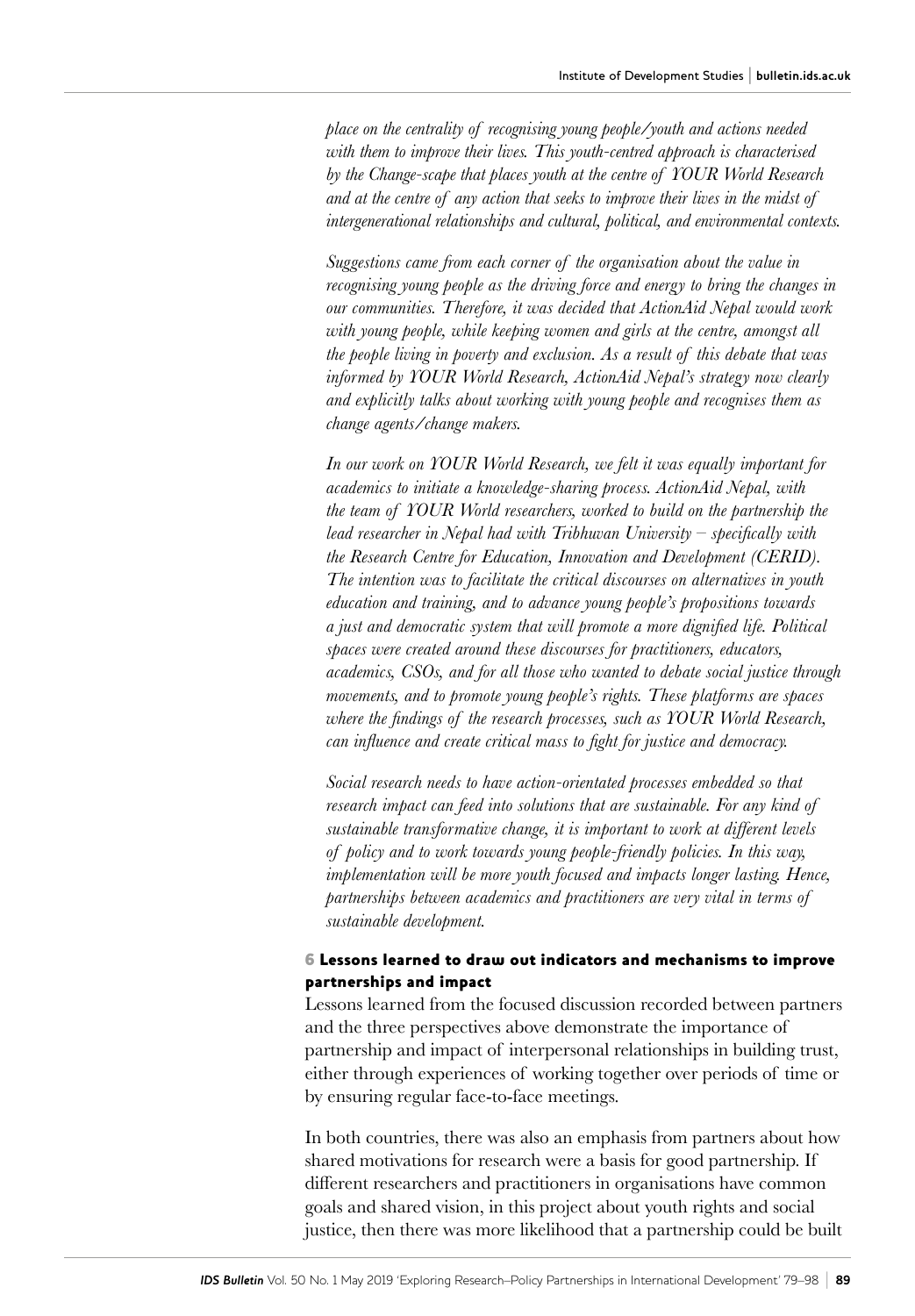*place on the centrality of recognising young people/youth and actions needed with them to improve their lives. This youth-centred approach is characterised by the Change-scape that places youth at the centre of YOUR World Research and at the centre of any action that seeks to improve their lives in the midst of intergenerational relationships and cultural, political, and environmental contexts.*

*Suggestions came from each corner of the organisation about the value in recognising young people as the driving force and energy to bring the changes in our communities. Therefore, it was decided that ActionAid Nepal would work with young people, while keeping women and girls at the centre, amongst all the people living in poverty and exclusion. As a result of this debate that was informed by YOUR World Research, ActionAid Nepal's strategy now clearly and explicitly talks about working with young people and recognises them as change agents/change makers.*

*In our work on YOUR World Research, we felt it was equally important for academics to initiate a knowledge-sharing process. ActionAid Nepal, with the team of YOUR World researchers, worked to build on the partnership the lead researcher in Nepal had with Tribhuvan University – specifically with the Research Centre for Education, Innovation and Development (CERID). The intention was to facilitate the critical discourses on alternatives in youth education and training, and to advance young people's propositions towards a just and democratic system that will promote a more dignified life. Political spaces were created around these discourses for practitioners, educators, academics, CSOs, and for all those who wanted to debate social justice through movements, and to promote young people's rights. These platforms are spaces where the findings of the research processes, such as YOUR World Research, can influence and create critical mass to fight for justice and democracy.*

*Social research needs to have action-orientated processes embedded so that research impact can feed into solutions that are sustainable. For any kind of sustainable transformative change, it is important to work at different levels of policy and to work towards young people-friendly policies. In this way, implementation will be more youth focused and impacts longer lasting. Hence, partnerships between academics and practitioners are very vital in terms of sustainable development.*

#### 6 Lessons learned to draw out indicators and mechanisms to improve partnerships and impact

Lessons learned from the focused discussion recorded between partners and the three perspectives above demonstrate the importance of partnership and impact of interpersonal relationships in building trust, either through experiences of working together over periods of time or by ensuring regular face-to-face meetings.

In both countries, there was also an emphasis from partners about how shared motivations for research were a basis for good partnership. If different researchers and practitioners in organisations have common goals and shared vision, in this project about youth rights and social justice, then there was more likelihood that a partnership could be built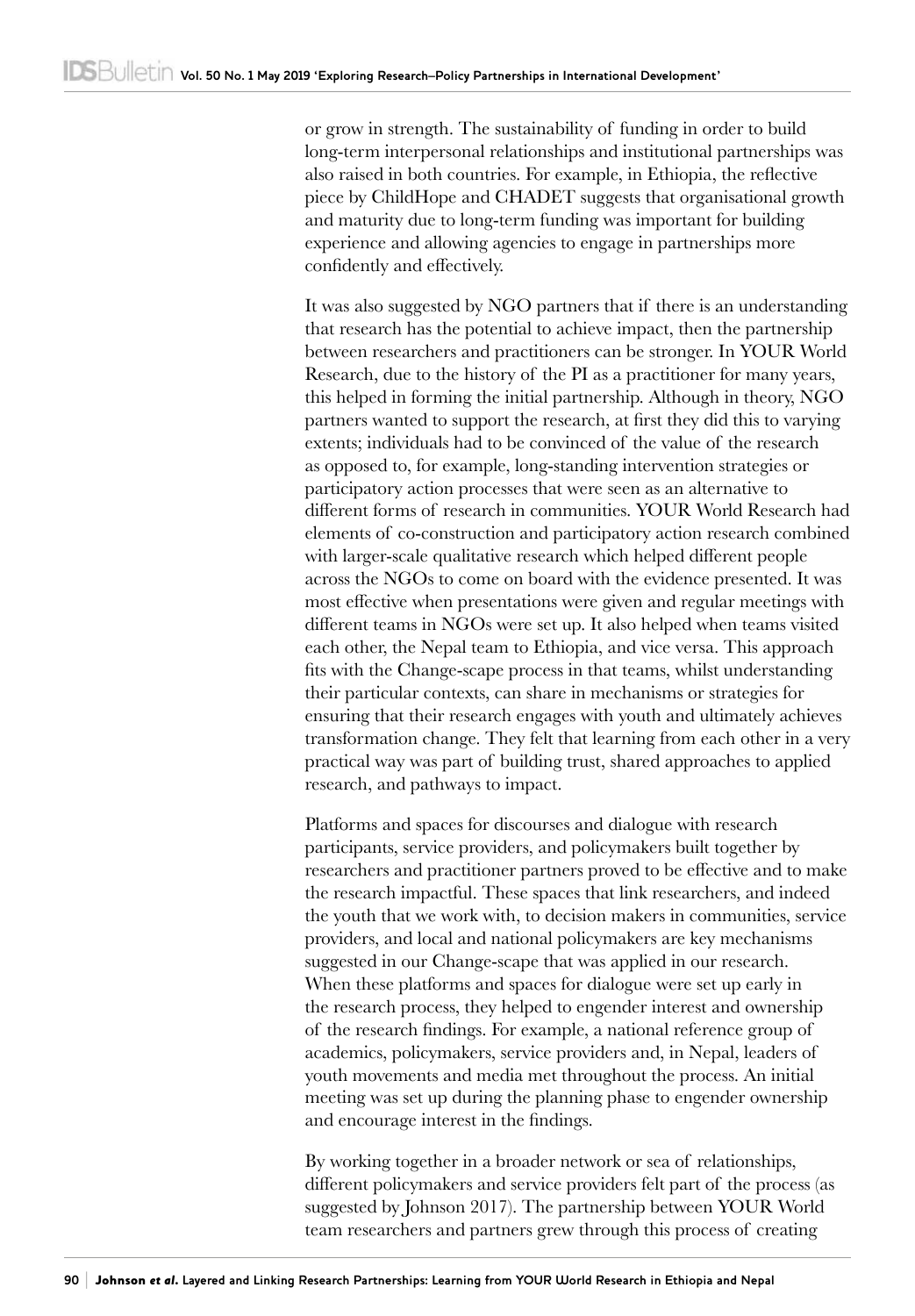or grow in strength. The sustainability of funding in order to build long-term interpersonal relationships and institutional partnerships was also raised in both countries. For example, in Ethiopia, the reflective piece by ChildHope and CHADET suggests that organisational growth and maturity due to long-term funding was important for building experience and allowing agencies to engage in partnerships more confidently and effectively.

It was also suggested by NGO partners that if there is an understanding that research has the potential to achieve impact, then the partnership between researchers and practitioners can be stronger. In YOUR World Research, due to the history of the PI as a practitioner for many years, this helped in forming the initial partnership. Although in theory, NGO partners wanted to support the research, at first they did this to varying extents; individuals had to be convinced of the value of the research as opposed to, for example, long-standing intervention strategies or participatory action processes that were seen as an alternative to different forms of research in communities. YOUR World Research had elements of co-construction and participatory action research combined with larger-scale qualitative research which helped different people across the NGOs to come on board with the evidence presented. It was most effective when presentations were given and regular meetings with different teams in NGOs were set up. It also helped when teams visited each other, the Nepal team to Ethiopia, and vice versa. This approach fits with the Change-scape process in that teams, whilst understanding their particular contexts, can share in mechanisms or strategies for ensuring that their research engages with youth and ultimately achieves transformation change. They felt that learning from each other in a very practical way was part of building trust, shared approaches to applied research, and pathways to impact.

Platforms and spaces for discourses and dialogue with research participants, service providers, and policymakers built together by researchers and practitioner partners proved to be effective and to make the research impactful. These spaces that link researchers, and indeed the youth that we work with, to decision makers in communities, service providers, and local and national policymakers are key mechanisms suggested in our Change-scape that was applied in our research. When these platforms and spaces for dialogue were set up early in the research process, they helped to engender interest and ownership of the research findings. For example, a national reference group of academics, policymakers, service providers and, in Nepal, leaders of youth movements and media met throughout the process. An initial meeting was set up during the planning phase to engender ownership and encourage interest in the findings.

By working together in a broader network or sea of relationships, different policymakers and service providers felt part of the process (as suggested by Johnson 2017). The partnership between YOUR World team researchers and partners grew through this process of creating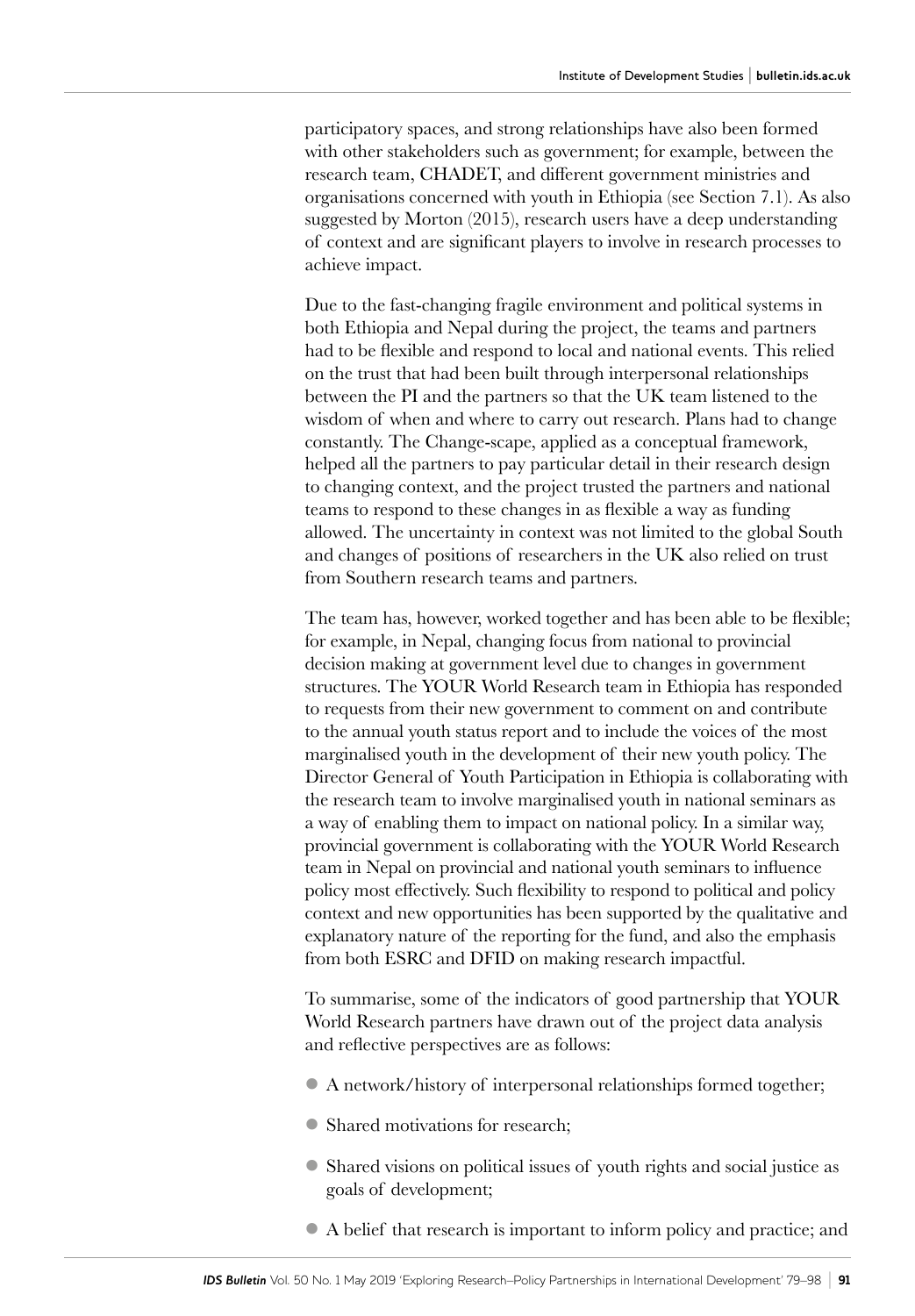participatory spaces, and strong relationships have also been formed with other stakeholders such as government; for example, between the research team, CHADET, and different government ministries and organisations concerned with youth in Ethiopia (see Section 7.1). As also suggested by Morton (2015), research users have a deep understanding of context and are significant players to involve in research processes to achieve impact.

Due to the fast-changing fragile environment and political systems in both Ethiopia and Nepal during the project, the teams and partners had to be flexible and respond to local and national events. This relied on the trust that had been built through interpersonal relationships between the PI and the partners so that the UK team listened to the wisdom of when and where to carry out research. Plans had to change constantly. The Change-scape, applied as a conceptual framework, helped all the partners to pay particular detail in their research design to changing context, and the project trusted the partners and national teams to respond to these changes in as flexible a way as funding allowed. The uncertainty in context was not limited to the global South and changes of positions of researchers in the UK also relied on trust from Southern research teams and partners.

The team has, however, worked together and has been able to be flexible; for example, in Nepal, changing focus from national to provincial decision making at government level due to changes in government structures. The YOUR World Research team in Ethiopia has responded to requests from their new government to comment on and contribute to the annual youth status report and to include the voices of the most marginalised youth in the development of their new youth policy. The Director General of Youth Participation in Ethiopia is collaborating with the research team to involve marginalised youth in national seminars as a way of enabling them to impact on national policy. In a similar way, provincial government is collaborating with the YOUR World Research team in Nepal on provincial and national youth seminars to influence policy most effectively. Such flexibility to respond to political and policy context and new opportunities has been supported by the qualitative and explanatory nature of the reporting for the fund, and also the emphasis from both ESRC and DFID on making research impactful.

To summarise, some of the indicators of good partnership that YOUR World Research partners have drawn out of the project data analysis and reflective perspectives are as follows:

- l A network/history of interpersonal relationships formed together;
- Shared motivations for research;
- l Shared visions on political issues of youth rights and social justice as goals of development;
- l A belief that research is important to inform policy and practice; and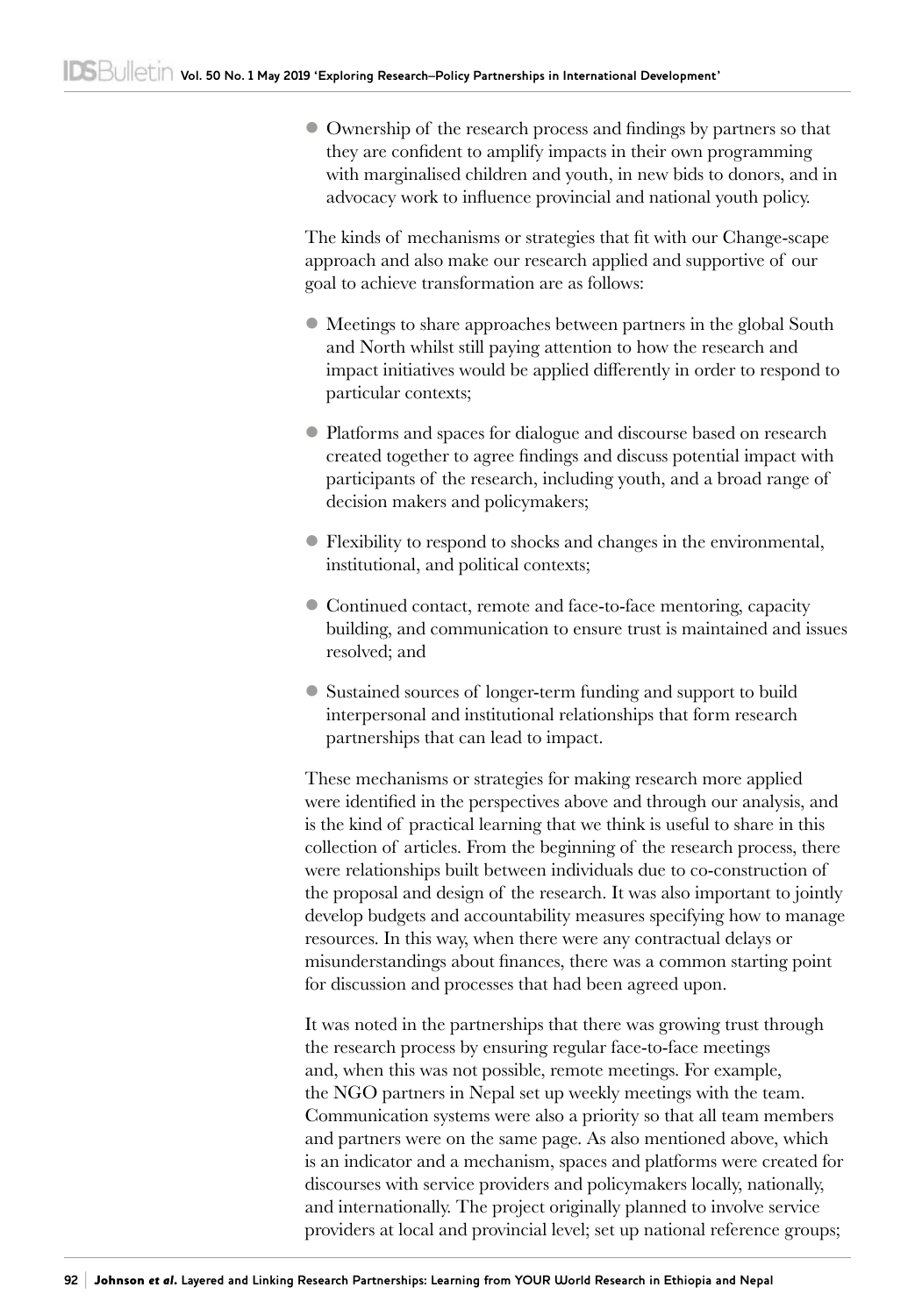l Ownership of the research process and findings by partners so that they are confident to amplify impacts in their own programming with marginalised children and youth, in new bids to donors, and in advocacy work to influence provincial and national youth policy.

The kinds of mechanisms or strategies that fit with our Change-scape approach and also make our research applied and supportive of our goal to achieve transformation are as follows:

- l Meetings to share approaches between partners in the global South and North whilst still paying attention to how the research and impact initiatives would be applied differently in order to respond to particular contexts;
- l Platforms and spaces for dialogue and discourse based on research created together to agree findings and discuss potential impact with participants of the research, including youth, and a broad range of decision makers and policymakers;
- l Flexibility to respond to shocks and changes in the environmental, institutional, and political contexts;
- Continued contact, remote and face-to-face mentoring, capacity building, and communication to ensure trust is maintained and issues resolved; and
- l Sustained sources of longer-term funding and support to build interpersonal and institutional relationships that form research partnerships that can lead to impact.

These mechanisms or strategies for making research more applied were identified in the perspectives above and through our analysis, and is the kind of practical learning that we think is useful to share in this collection of articles. From the beginning of the research process, there were relationships built between individuals due to co-construction of the proposal and design of the research. It was also important to jointly develop budgets and accountability measures specifying how to manage resources. In this way, when there were any contractual delays or misunderstandings about finances, there was a common starting point for discussion and processes that had been agreed upon.

It was noted in the partnerships that there was growing trust through the research process by ensuring regular face-to-face meetings and, when this was not possible, remote meetings. For example, the NGO partners in Nepal set up weekly meetings with the team. Communication systems were also a priority so that all team members and partners were on the same page. As also mentioned above, which is an indicator and a mechanism, spaces and platforms were created for discourses with service providers and policymakers locally, nationally, and internationally. The project originally planned to involve service providers at local and provincial level; set up national reference groups;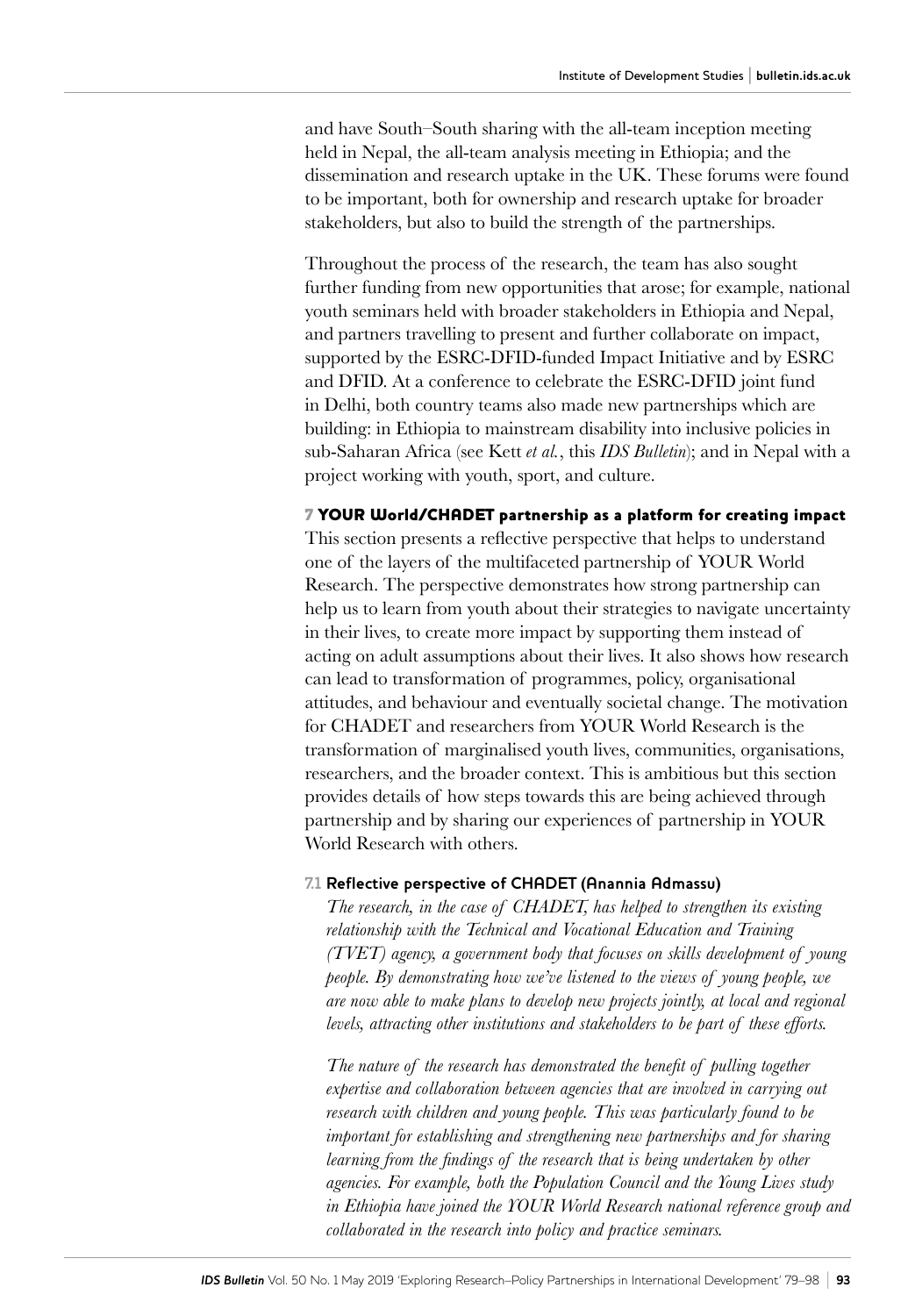and have South–South sharing with the all-team inception meeting held in Nepal, the all-team analysis meeting in Ethiopia; and the dissemination and research uptake in the UK. These forums were found to be important, both for ownership and research uptake for broader stakeholders, but also to build the strength of the partnerships.

Throughout the process of the research, the team has also sought further funding from new opportunities that arose; for example, national youth seminars held with broader stakeholders in Ethiopia and Nepal, and partners travelling to present and further collaborate on impact, supported by the ESRC-DFID-funded Impact Initiative and by ESRC and DFID. At a conference to celebrate the ESRC-DFID joint fund in Delhi, both country teams also made new partnerships which are building: in Ethiopia to mainstream disability into inclusive policies in sub-Saharan Africa (see Kett *et al.*, this *IDS Bulletin*); and in Nepal with a project working with youth, sport, and culture.

#### 7 YOUR World/CHADET partnership as a platform for creating impact

This section presents a reflective perspective that helps to understand one of the layers of the multifaceted partnership of YOUR World Research. The perspective demonstrates how strong partnership can help us to learn from youth about their strategies to navigate uncertainty in their lives, to create more impact by supporting them instead of acting on adult assumptions about their lives. It also shows how research can lead to transformation of programmes, policy, organisational attitudes, and behaviour and eventually societal change. The motivation for CHADET and researchers from YOUR World Research is the transformation of marginalised youth lives, communities, organisations, researchers, and the broader context. This is ambitious but this section provides details of how steps towards this are being achieved through partnership and by sharing our experiences of partnership in YOUR World Research with others.

#### **7.1 Reflective perspective of CHADET (Anannia Admassu)**

*The research, in the case of CHADET, has helped to strengthen its existing relationship with the Technical and Vocational Education and Training (TVET) agency, a government body that focuses on skills development of young people. By demonstrating how we've listened to the views of young people, we are now able to make plans to develop new projects jointly, at local and regional levels, attracting other institutions and stakeholders to be part of these efforts.*

*The nature of the research has demonstrated the benefit of pulling together*  expertise and collaboration between agencies that are involved in carrying out *research with children and young people. This was particularly found to be important for establishing and strengthening new partnerships and for sharing learning from the findings of the research that is being undertaken by other agencies. For example, both the Population Council and the Young Lives study in Ethiopia have joined the YOUR World Research national reference group and collaborated in the research into policy and practice seminars.*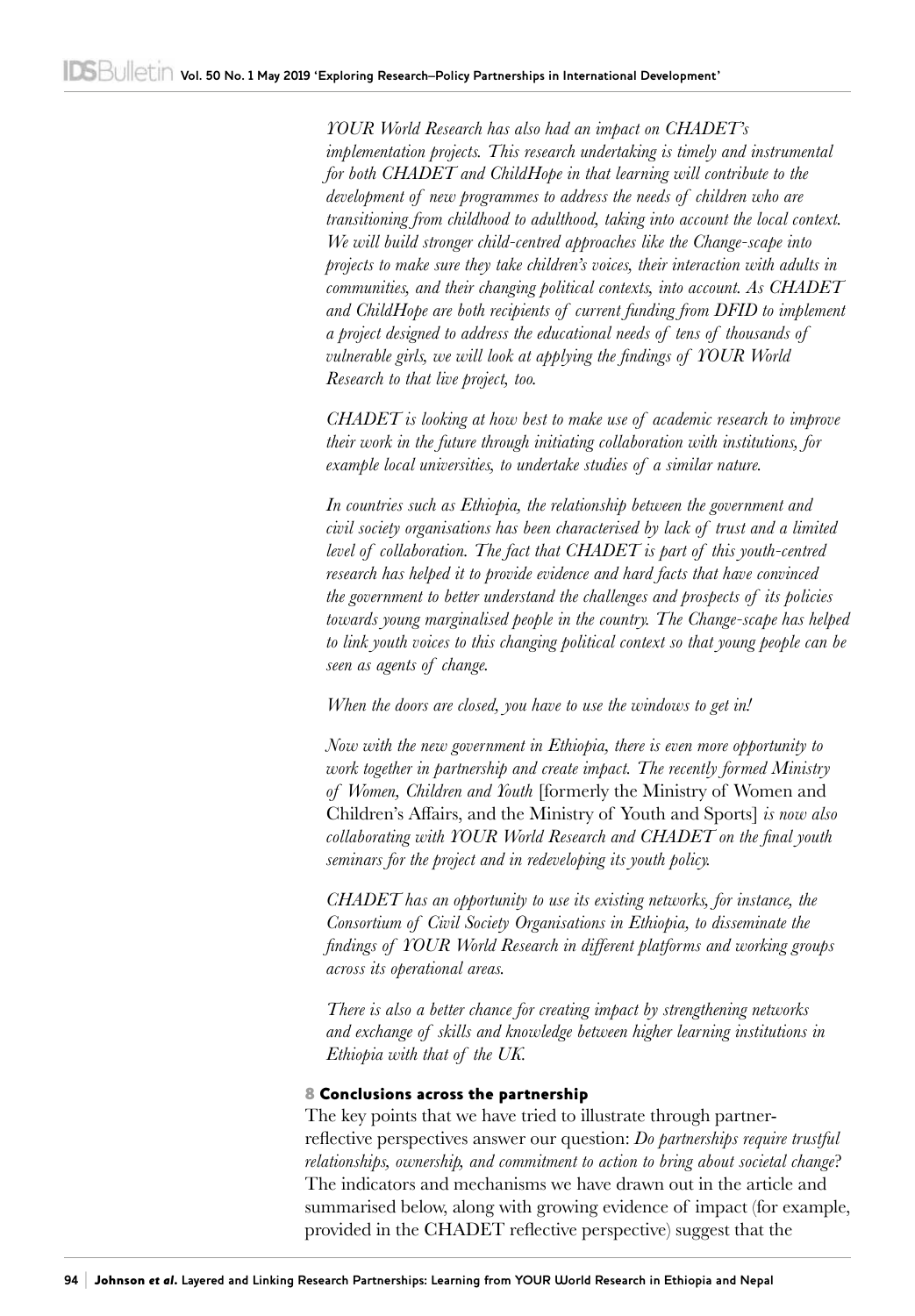*YOUR World Research has also had an impact on CHADET's implementation projects. This research undertaking is timely and instrumental for both CHADET and ChildHope in that learning will contribute to the development of new programmes to address the needs of children who are transitioning from childhood to adulthood, taking into account the local context. We will build stronger child-centred approaches like the Change-scape into projects to make sure they take children's voices, their interaction with adults in communities, and their changing political contexts, into account. As CHADET*  and ChildHope are both recipients of current funding from DFID to implement *a project designed to address the educational needs of tens of thousands of vulnerable girls, we will look at applying the findings of YOUR World Research to that live project, too.*

*CHADET is looking at how best to make use of academic research to improve their work in the future through initiating collaboration with institutions, for example local universities, to undertake studies of a similar nature.*

*In countries such as Ethiopia, the relationship between the government and civil society organisations has been characterised by lack of trust and a limited level of collaboration. The fact that CHADET is part of this youth-centred research has helped it to provide evidence and hard facts that have convinced the government to better understand the challenges and prospects of its policies towards young marginalised people in the country. The Change-scape has helped to link youth voices to this changing political context so that young people can be seen as agents of change.*

*When the doors are closed, you have to use the windows to get in!*

*Now with the new government in Ethiopia, there is even more opportunity to work together in partnership and create impact. The recently formed Ministry of Women, Children and Youth* [formerly the Ministry of Women and Children's Affairs, and the Ministry of Youth and Sports] *is now also collaborating with YOUR World Research and CHADET on the final youth seminars for the project and in redeveloping its youth policy.*

*CHADET has an opportunity to use its existing networks, for instance, the Consortium of Civil Society Organisations in Ethiopia, to disseminate the findings of YOUR World Research in different platforms and working groups across its operational areas.*

*There is also a better chance for creating impact by strengthening networks and exchange of skills and knowledge between higher learning institutions in Ethiopia with that of the UK.*

#### 8 Conclusions across the partnership

The key points that we have tried to illustrate through partnerreflective perspectives answer our question: *Do partnerships require trustful relationships, ownership, and commitment to action to bring about societal change*? The indicators and mechanisms we have drawn out in the article and summarised below, along with growing evidence of impact (for example, provided in the CHADET reflective perspective) suggest that the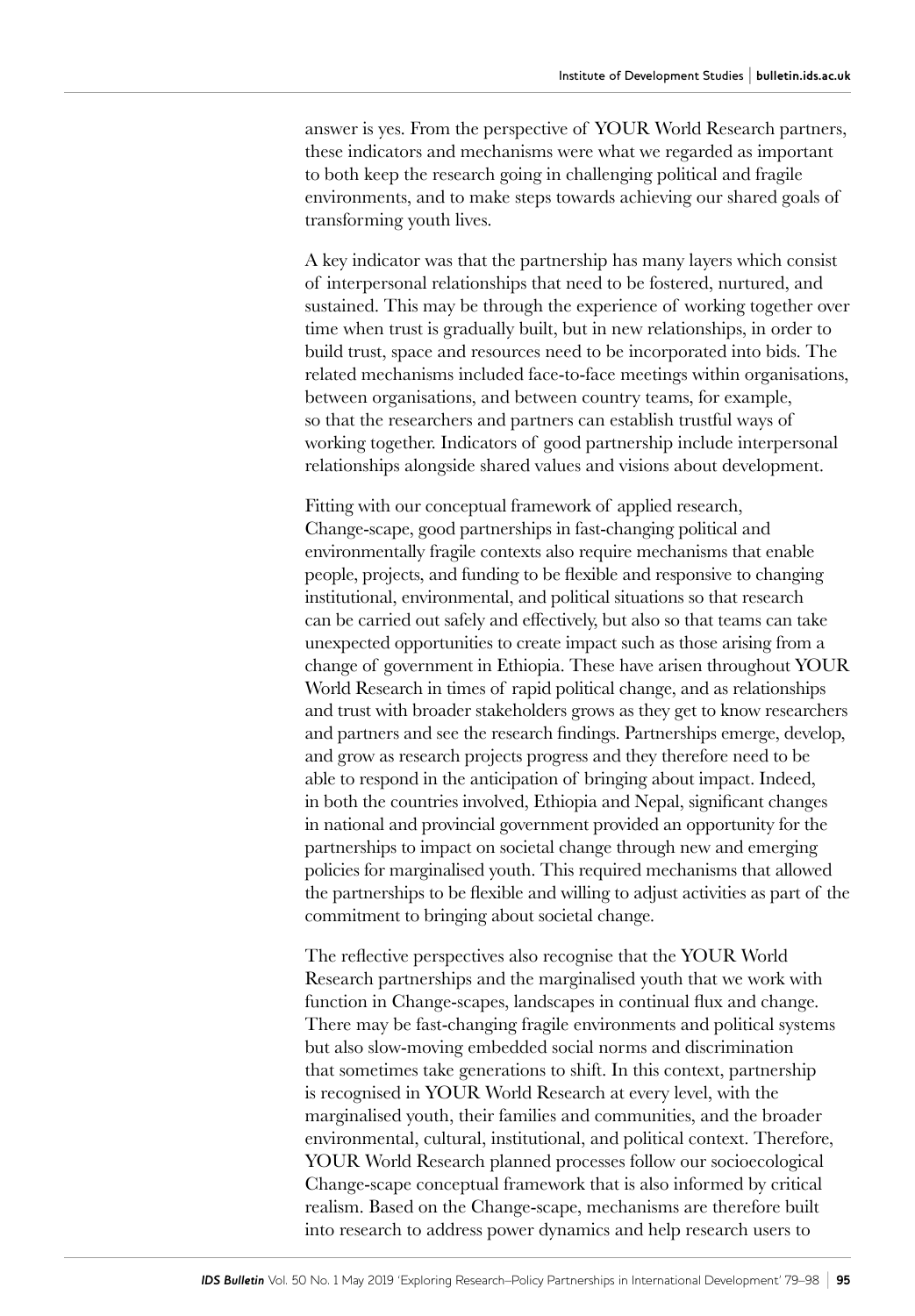answer is yes. From the perspective of YOUR World Research partners, these indicators and mechanisms were what we regarded as important to both keep the research going in challenging political and fragile environments, and to make steps towards achieving our shared goals of transforming youth lives.

A key indicator was that the partnership has many layers which consist of interpersonal relationships that need to be fostered, nurtured, and sustained. This may be through the experience of working together over time when trust is gradually built, but in new relationships, in order to build trust, space and resources need to be incorporated into bids. The related mechanisms included face-to-face meetings within organisations, between organisations, and between country teams, for example, so that the researchers and partners can establish trustful ways of working together. Indicators of good partnership include interpersonal relationships alongside shared values and visions about development.

Fitting with our conceptual framework of applied research, Change-scape, good partnerships in fast-changing political and environmentally fragile contexts also require mechanisms that enable people, projects, and funding to be flexible and responsive to changing institutional, environmental, and political situations so that research can be carried out safely and effectively, but also so that teams can take unexpected opportunities to create impact such as those arising from a change of government in Ethiopia. These have arisen throughout YOUR World Research in times of rapid political change, and as relationships and trust with broader stakeholders grows as they get to know researchers and partners and see the research findings. Partnerships emerge, develop, and grow as research projects progress and they therefore need to be able to respond in the anticipation of bringing about impact. Indeed, in both the countries involved, Ethiopia and Nepal, significant changes in national and provincial government provided an opportunity for the partnerships to impact on societal change through new and emerging policies for marginalised youth. This required mechanisms that allowed the partnerships to be flexible and willing to adjust activities as part of the commitment to bringing about societal change.

The reflective perspectives also recognise that the YOUR World Research partnerships and the marginalised youth that we work with function in Change-scapes, landscapes in continual flux and change. There may be fast-changing fragile environments and political systems but also slow-moving embedded social norms and discrimination that sometimes take generations to shift. In this context, partnership is recognised in YOUR World Research at every level, with the marginalised youth, their families and communities, and the broader environmental, cultural, institutional, and political context. Therefore, YOUR World Research planned processes follow our socioecological Change-scape conceptual framework that is also informed by critical realism. Based on the Change-scape, mechanisms are therefore built into research to address power dynamics and help research users to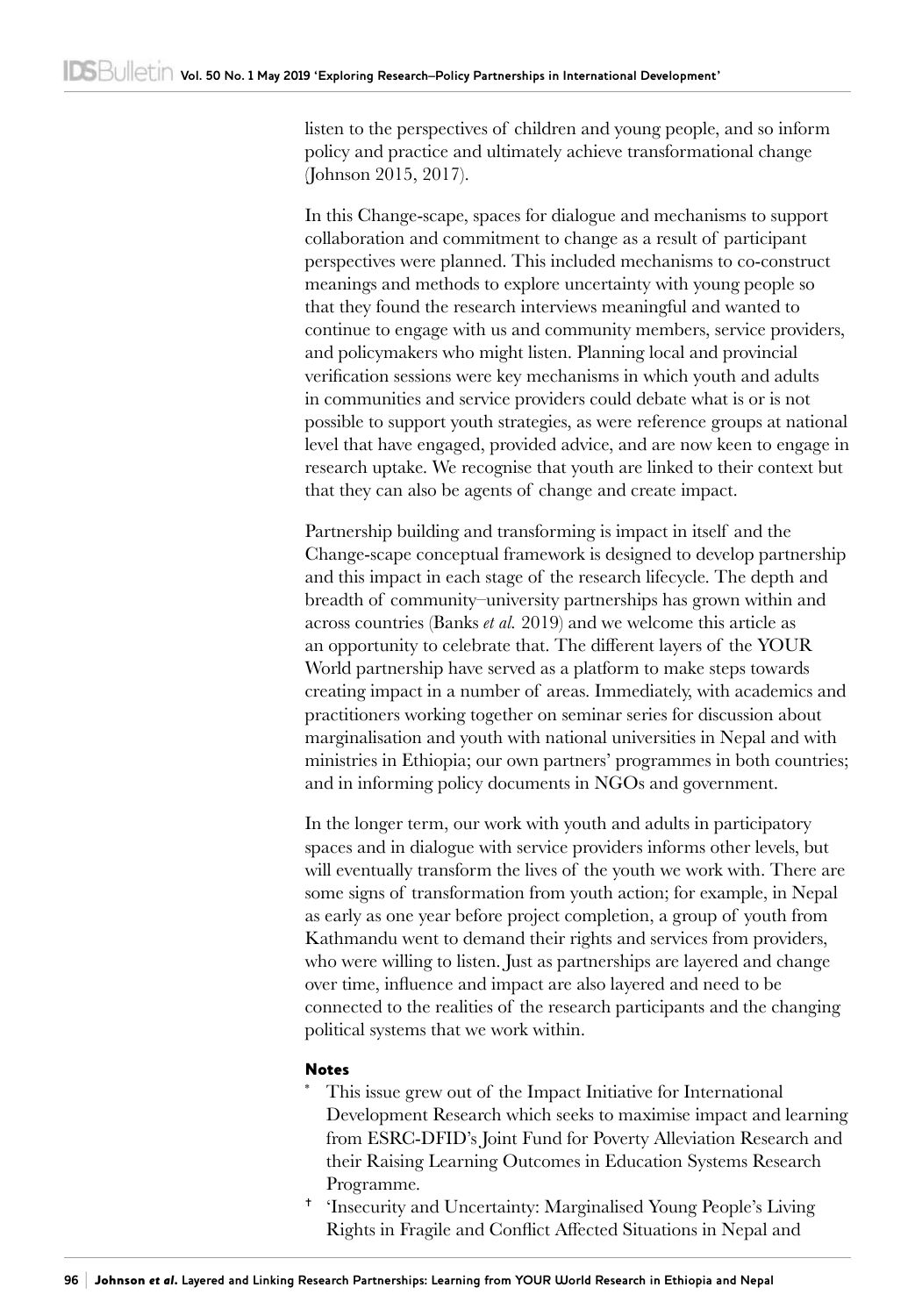listen to the perspectives of children and young people, and so inform policy and practice and ultimately achieve transformational change (Johnson 2015, 2017).

In this Change-scape, spaces for dialogue and mechanisms to support collaboration and commitment to change as a result of participant perspectives were planned. This included mechanisms to co-construct meanings and methods to explore uncertainty with young people so that they found the research interviews meaningful and wanted to continue to engage with us and community members, service providers, and policymakers who might listen. Planning local and provincial verification sessions were key mechanisms in which youth and adults in communities and service providers could debate what is or is not possible to support youth strategies, as were reference groups at national level that have engaged, provided advice, and are now keen to engage in research uptake. We recognise that youth are linked to their context but that they can also be agents of change and create impact.

Partnership building and transforming is impact in itself and the Change-scape conceptual framework is designed to develop partnership and this impact in each stage of the research lifecycle. The depth and breadth of community–university partnerships has grown within and across countries (Banks *et al.* 2019) and we welcome this article as an opportunity to celebrate that. The different layers of the YOUR World partnership have served as a platform to make steps towards creating impact in a number of areas. Immediately, with academics and practitioners working together on seminar series for discussion about marginalisation and youth with national universities in Nepal and with ministries in Ethiopia; our own partners' programmes in both countries; and in informing policy documents in NGOs and government.

In the longer term, our work with youth and adults in participatory spaces and in dialogue with service providers informs other levels, but will eventually transform the lives of the youth we work with. There are some signs of transformation from youth action; for example, in Nepal as early as one year before project completion, a group of youth from Kathmandu went to demand their rights and services from providers, who were willing to listen. Just as partnerships are layered and change over time, influence and impact are also layered and need to be connected to the realities of the research participants and the changing political systems that we work within.

#### Notes

- This issue grew out of the Impact Initiative for International Development Research which seeks to maximise impact and learning from ESRC-DFID's Joint Fund for Poverty Alleviation Research and their Raising Learning Outcomes in Education Systems Research Programme.
- <sup>+</sup> 'Insecurity and Uncertainty: Marginalised Young People's Living Rights in Fragile and Conflict Affected Situations in Nepal and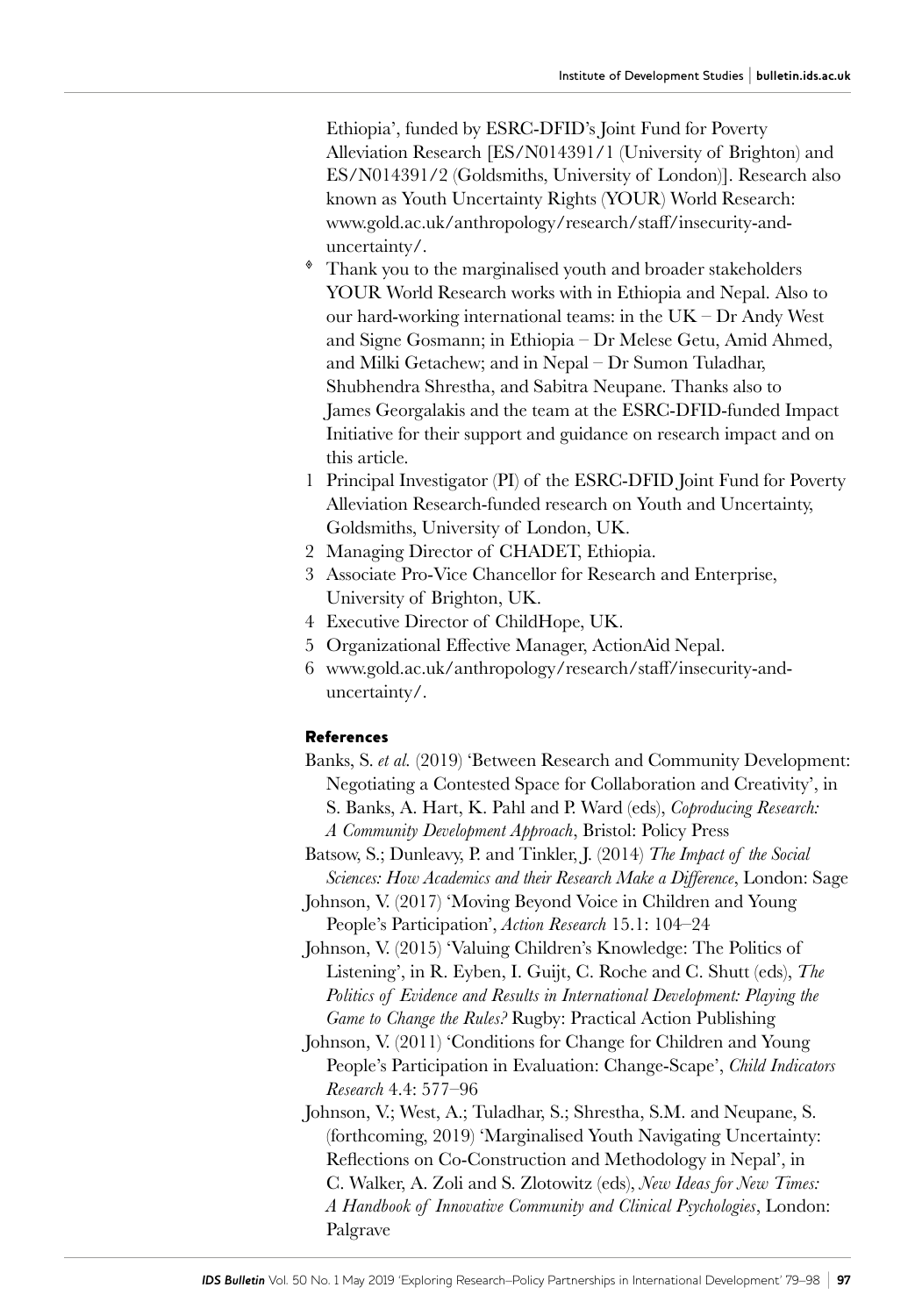Ethiopia', funded by ESRC-DFID's Joint Fund for Poverty Alleviation Research [ES/N014391/1 (University of Brighton) and ES/N014391/2 (Goldsmiths, University of London)]. Research also known as Youth Uncertainty Rights (YOUR) World Research: [www.gold.ac.uk/anthropology/research/staff/insecurity](http://www.gold.ac.uk/anthropology/research/staff/insecurity)-anduncertainty/.

- Thank you to the marginalised youth and broader stakeholders YOUR World Research works with in Ethiopia and Nepal. Also to our hard-working international teams: in the UK – Dr Andy West and Signe Gosmann; in Ethiopia – Dr Melese Getu, Amid Ahmed, and Milki Getachew; and in Nepal – Dr Sumon Tuladhar, Shubhendra Shrestha, and Sabitra Neupane. Thanks also to James Georgalakis and the team at the ESRC-DFID-funded Impact Initiative for their support and guidance on research impact and on this article.
- 1 Principal Investigator (PI) of the ESRC-DFID Joint Fund for Poverty Alleviation Research-funded research on Youth and Uncertainty, Goldsmiths, University of London, UK.
- 2 Managing Director of CHADET, Ethiopia.
- 3 Associate Pro-Vice Chancellor for Research and Enterprise, University of Brighton, UK.
- 4 Executive Director of ChildHope, UK.
- 5 Organizational Effective Manager, ActionAid Nepal.
- 6 [www.gold.ac.uk/anthropology/research/staff/insecurity](http://www.gold.ac.uk/anthropology/research/staff/insecurity)-anduncertainty/.

#### References

Banks, S. *et al.* (2019) 'Between Research and Community Development: Negotiating a Contested Space for Collaboration and Creativity', in S. Banks, A. Hart, K. Pahl and P. Ward (eds), *Coproducing Research: A Community Development Approach*, Bristol: Policy Press

Batsow, S.; Dunleavy, P. and Tinkler, J. (2014) *The Impact of the Social Sciences: How Academics and their Research Make a Difference*, London: Sage

- Johnson, V. (2017) 'Moving Beyond Voice in Children and Young People's Participation', *Action Research* 15.1: 104–24
- Johnson, V. (2015) 'Valuing Children's Knowledge: The Politics of Listening', in R. Eyben, I. Guijt, C. Roche and C. Shutt (eds), *The Politics of Evidence and Results in International Development: Playing the Game to Change the Rules?* Rugby: Practical Action Publishing
- Johnson, V. (2011) 'Conditions for Change for Children and Young People's Participation in Evaluation: Change-Scape', *Child Indicators Research* 4.4: 577–96
- Johnson, V.; West, A.; Tuladhar, S.; Shrestha, S.M. and Neupane, S. (forthcoming, 2019) 'Marginalised Youth Navigating Uncertainty: Reflections on Co-Construction and Methodology in Nepal', in C. Walker, A. Zoli and S. Zlotowitz (eds), *New Ideas for New Times: A Handbook of Innovative Community and Clinical Psychologies*, London: Palgrave